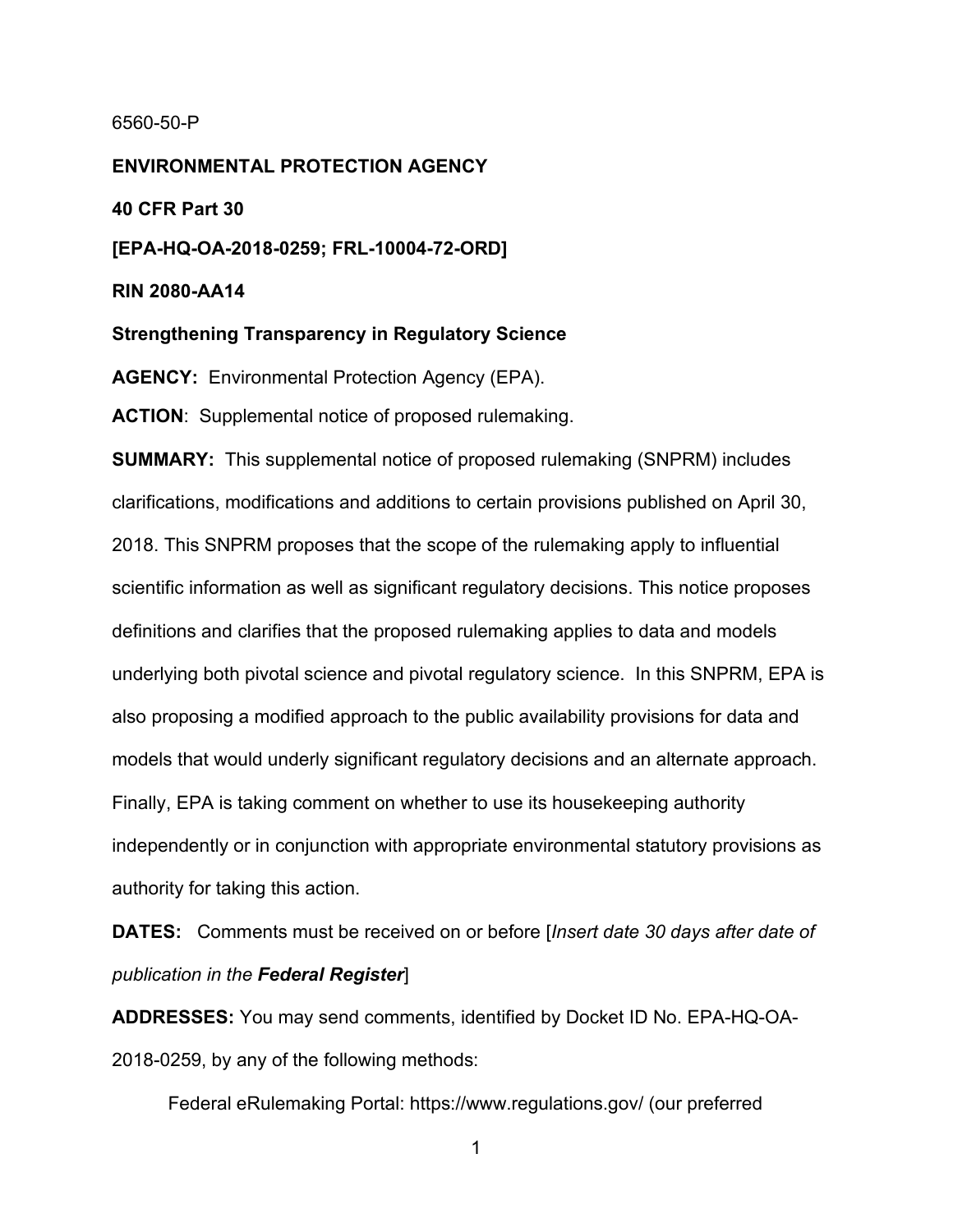## 6560-50-P

**ENVIRONMENTAL PROTECTION AGENCY**

**40 CFR Part 30**

**[EPA-HQ-OA-2018-0259; FRL-10004-72-ORD]**

**RIN 2080-AA14**

**Strengthening Transparency in Regulatory Science**

**AGENCY:** Environmental Protection Agency (EPA).

**ACTION**: Supplemental notice of proposed rulemaking.

**SUMMARY:** This supplemental notice of proposed rulemaking (SNPRM) includes clarifications, modifications and additions to certain provisions published on April 30, 2018. This SNPRM proposes that the scope of the rulemaking apply to influential scientific information as well as significant regulatory decisions. This notice proposes definitions and clarifies that the proposed rulemaking applies to data and models underlying both pivotal science and pivotal regulatory science. In this SNPRM, EPA is also proposing a modified approach to the public availability provisions for data and models that would underly significant regulatory decisions and an alternate approach. Finally, EPA is taking comment on whether to use its housekeeping authority independently or in conjunction with appropriate environmental statutory provisions as authority for taking this action.

**DATES:** Comments must be received on or before [*Insert date 30 days after date of publication in the Federal Register*]

**ADDRESSES:** You may send comments, identified by Docket ID No. EPA-HQ-OA-2018-0259, by any of the following methods:

Federal eRulemaking Portal: https://www.regulations.gov/ (our preferred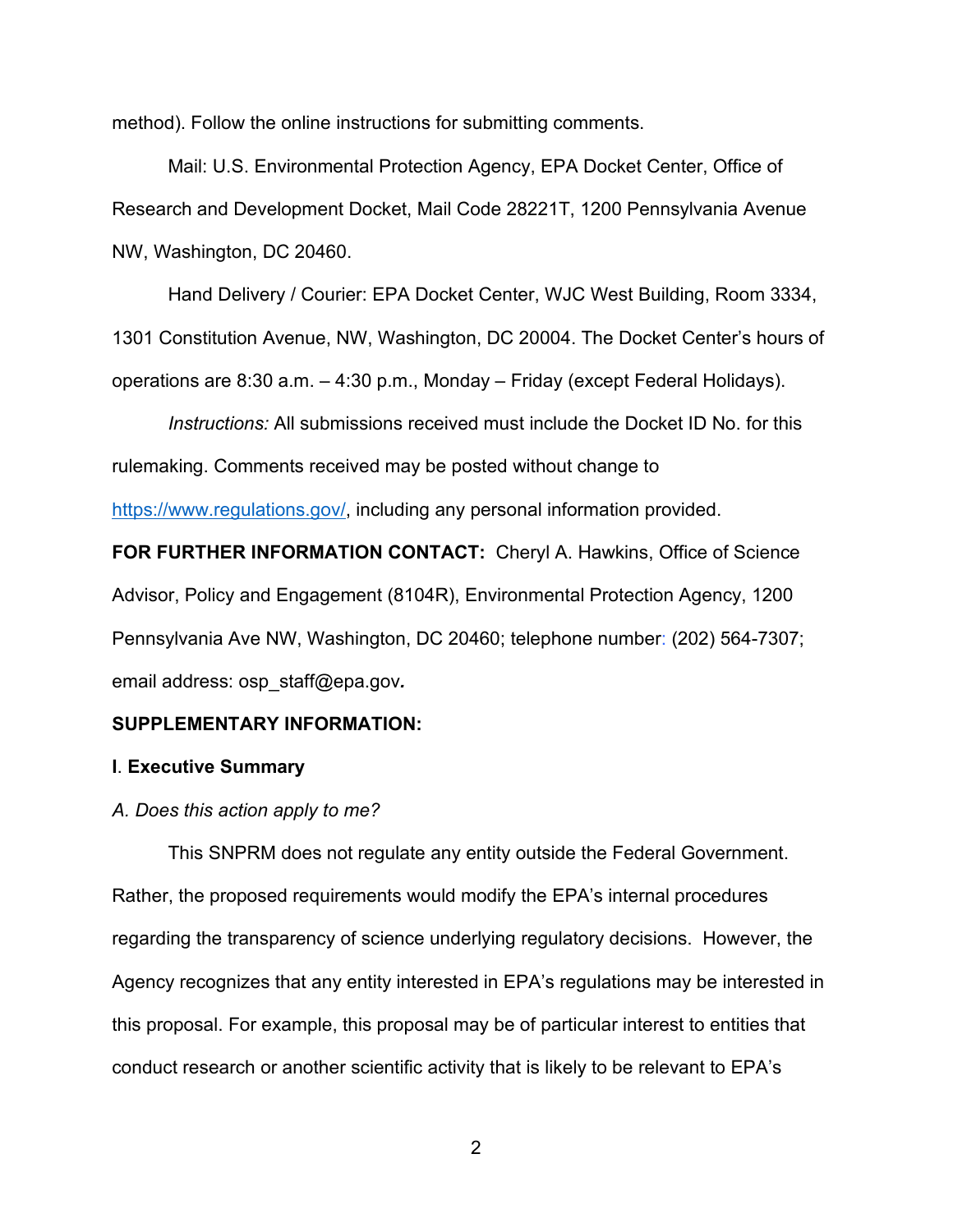method). Follow the online instructions for submitting comments.

Mail: U.S. Environmental Protection Agency, EPA Docket Center, Office of Research and Development Docket, Mail Code 28221T, 1200 Pennsylvania Avenue NW, Washington, DC 20460.

Hand Delivery / Courier: EPA Docket Center, WJC West Building, Room 3334,

1301 Constitution Avenue, NW, Washington, DC 20004. The Docket Center's hours of

operations are 8:30 a.m. – 4:30 p.m., Monday – Friday (except Federal Holidays).

*Instructions:* All submissions received must include the Docket ID No. for this rulemaking. Comments received may be posted without change to

[https://www.regulations.gov/,](https://www.regulations.gov/) including any personal information provided.

**FOR FURTHER INFORMATION CONTACT:** Cheryl A. Hawkins, Office of Science Advisor, Policy and Engagement (8104R), Environmental Protection Agency, 1200 Pennsylvania Ave NW, Washington, DC 20460; telephone number: (202) 564-7307; email address: osp\_staff@epa.gov*.* 

## **SUPPLEMENTARY INFORMATION:**

## **I**. **Executive Summary**

#### *A. Does this action apply to me?*

This SNPRM does not regulate any entity outside the Federal Government. Rather, the proposed requirements would modify the EPA's internal procedures regarding the transparency of science underlying regulatory decisions. However, the Agency recognizes that any entity interested in EPA's regulations may be interested in this proposal. For example, this proposal may be of particular interest to entities that conduct research or another scientific activity that is likely to be relevant to EPA's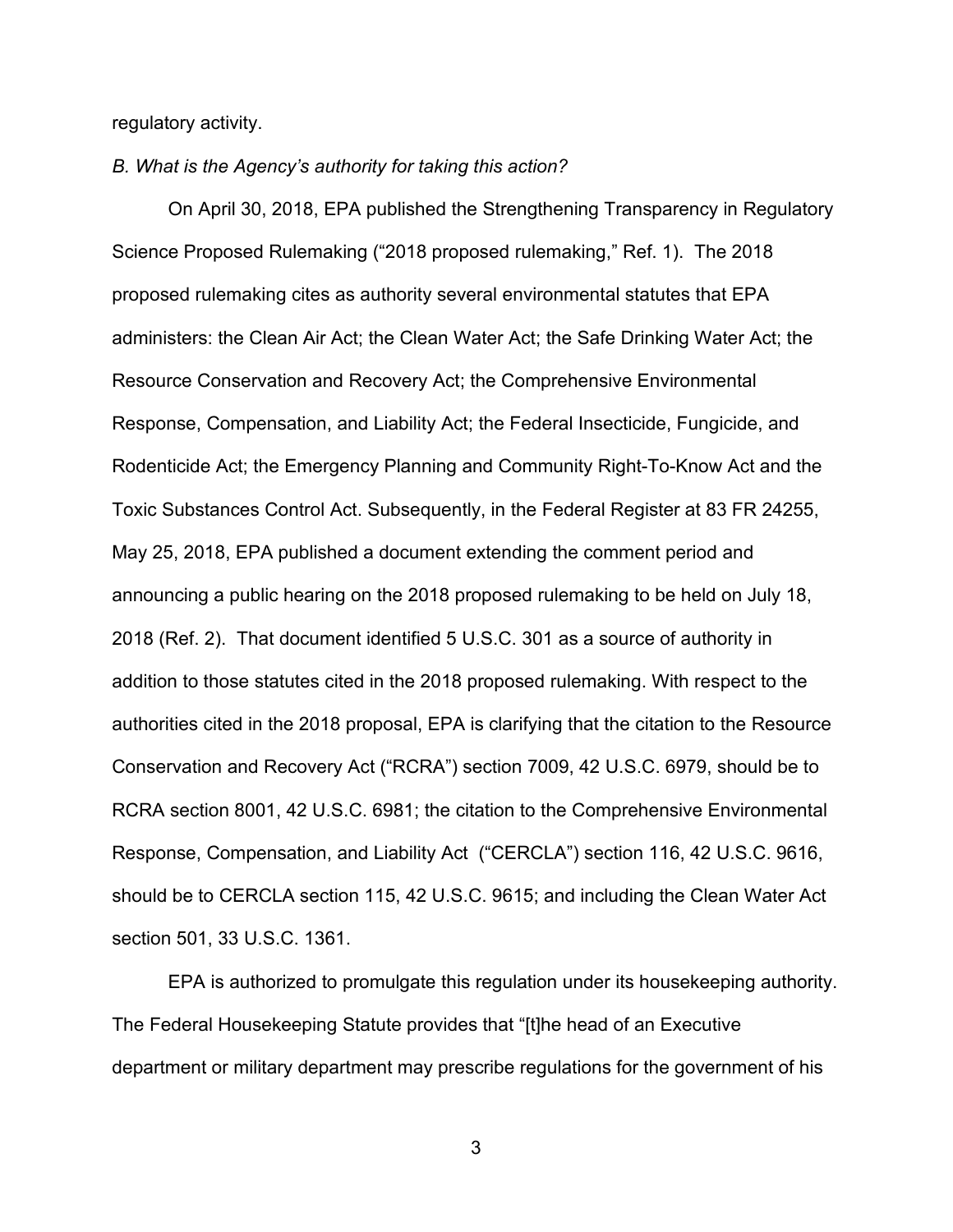regulatory activity.

*B. What is the Agency's authority for taking this action?*

On April 30, 2018, EPA published the Strengthening Transparency in Regulatory Science Proposed Rulemaking ("2018 proposed rulemaking," Ref. 1). The 2018 proposed rulemaking cites as authority several environmental statutes that EPA administers: the Clean Air Act; the Clean Water Act; the Safe Drinking Water Act; the Resource Conservation and Recovery Act; the Comprehensive Environmental Response, Compensation, and Liability Act; the Federal Insecticide, Fungicide, and Rodenticide Act; the Emergency Planning and Community Right-To-Know Act and the Toxic Substances Control Act. Subsequently, in the Federal Register at 83 FR 24255, May 25, 2018, EPA published a document extending the comment period and announcing a public hearing on the 2018 proposed rulemaking to be held on July 18, 2018 (Ref. 2). That document identified 5 U.S.C. 301 as a source of authority in addition to those statutes cited in the 2018 proposed rulemaking. With respect to the authorities cited in the 2018 proposal, EPA is clarifying that the citation to the Resource Conservation and Recovery Act ("RCRA") section 7009, 42 U.S.C. 6979, should be to RCRA section 8001, 42 U.S.C. 6981; the citation to the Comprehensive Environmental Response, Compensation, and Liability Act ("CERCLA") section 116, 42 U.S.C. 9616, should be to CERCLA section 115, 42 U.S.C. 9615; and including the Clean Water Act section 501, 33 U.S.C. 1361.

EPA is authorized to promulgate this regulation under its housekeeping authority. The Federal Housekeeping Statute provides that "[t]he head of an Executive department or military department may prescribe regulations for the government of his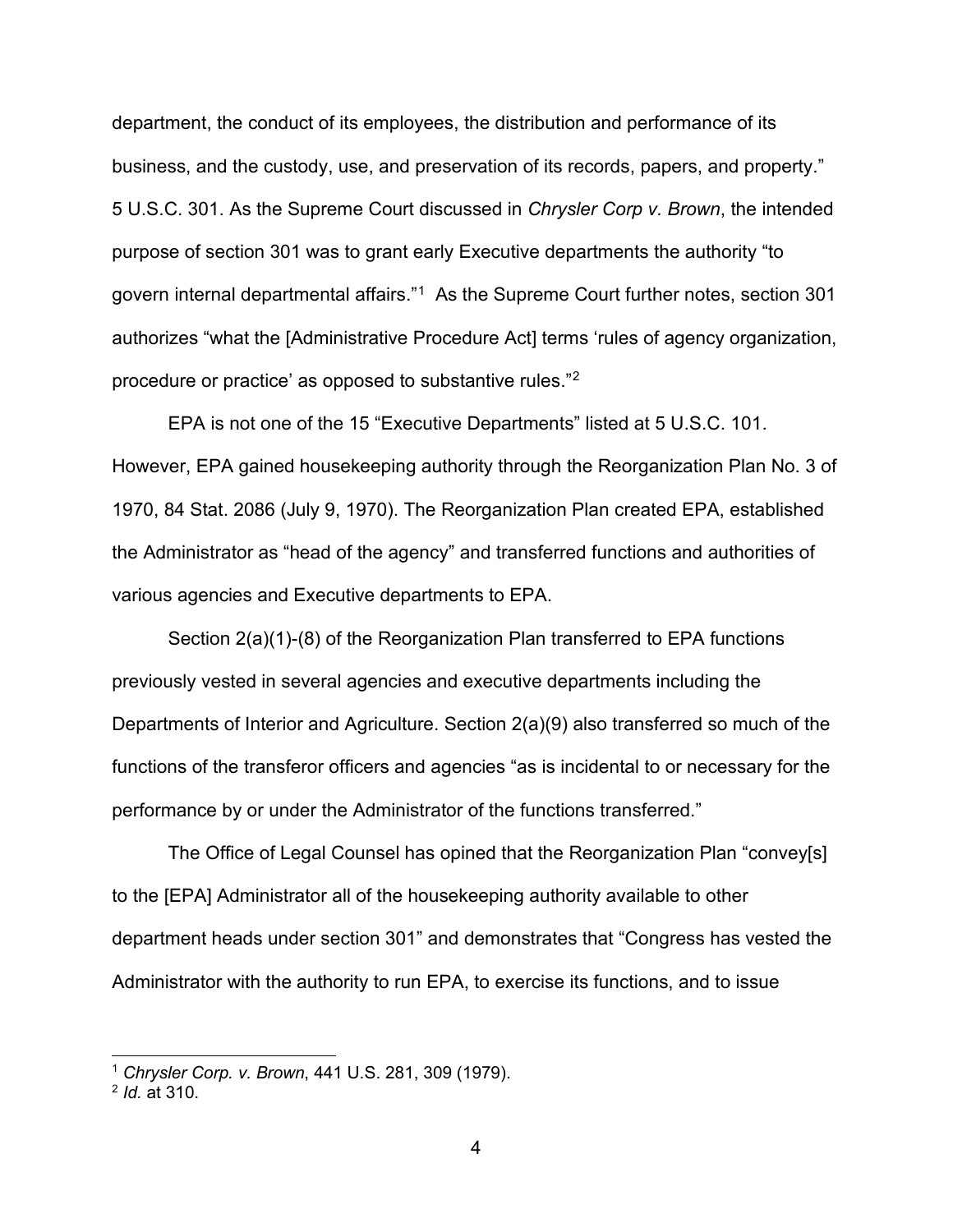department, the conduct of its employees, the distribution and performance of its business, and the custody, use, and preservation of its records, papers, and property." 5 U.S.C. 301. As the Supreme Court discussed in *Chrysler Corp v. Brown*, the intended purpose of section 301 was to grant early Executive departments the authority "to govern internal departmental affairs."[1](#page-3-0) As the Supreme Court further notes, section 301 authorizes "what the [Administrative Procedure Act] terms 'rules of agency organization, procedure or practice' as opposed to substantive rules."[2](#page-3-1)

EPA is not one of the 15 "Executive Departments" listed at 5 U.S.C. 101. However, EPA gained housekeeping authority through the Reorganization Plan No. 3 of 1970, 84 Stat. 2086 (July 9, 1970). The Reorganization Plan created EPA, established the Administrator as "head of the agency" and transferred functions and authorities of various agencies and Executive departments to EPA.

Section 2(a)(1)-(8) of the Reorganization Plan transferred to EPA functions previously vested in several agencies and executive departments including the Departments of Interior and Agriculture. Section 2(a)(9) also transferred so much of the functions of the transferor officers and agencies "as is incidental to or necessary for the performance by or under the Administrator of the functions transferred."

The Office of Legal Counsel has opined that the Reorganization Plan "convey[s] to the [EPA] Administrator all of the housekeeping authority available to other department heads under section 301" and demonstrates that "Congress has vested the Administrator with the authority to run EPA, to exercise its functions, and to issue

<span id="page-3-0"></span><sup>1</sup> *Chrysler Corp. v. Brown*, 441 U.S. 281, 309 (1979).

<span id="page-3-1"></span><sup>2</sup> *Id.* at 310.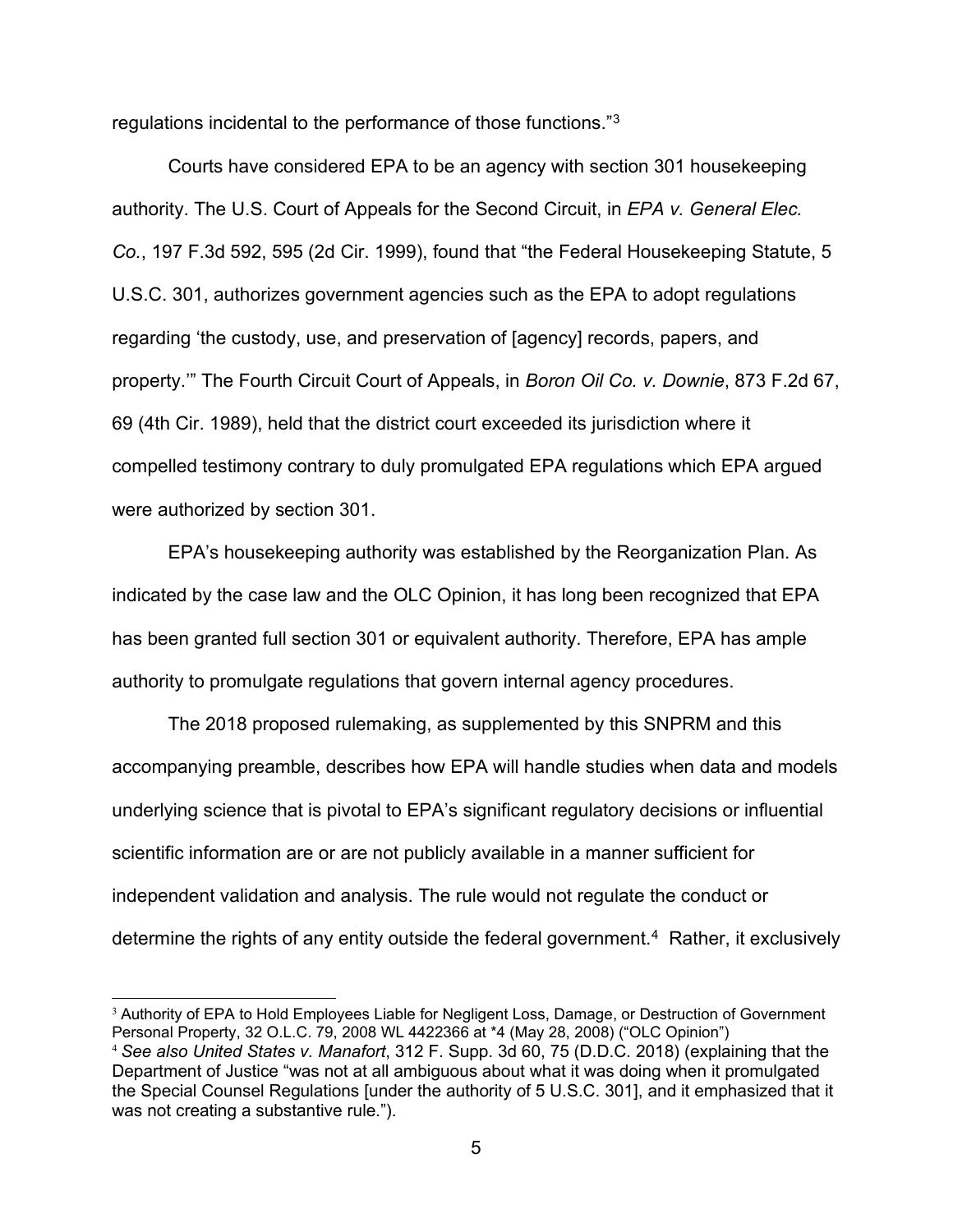regulations incidental to the performance of those functions."[3](#page-4-0)

Courts have considered EPA to be an agency with section 301 housekeeping authority. The U.S. Court of Appeals for the Second Circuit, in *EPA v. General Elec. Co.*, 197 F.3d 592, 595 (2d Cir. 1999), found that "the Federal Housekeeping Statute, 5 U.S.C. 301, authorizes government agencies such as the EPA to adopt regulations regarding 'the custody, use, and preservation of [agency] records, papers, and property.'" The Fourth Circuit Court of Appeals, in *Boron Oil Co. v. Downie*, 873 F.2d 67, 69 (4th Cir. 1989), held that the district court exceeded its jurisdiction where it compelled testimony contrary to duly promulgated EPA regulations which EPA argued were authorized by section 301.

EPA's housekeeping authority was established by the Reorganization Plan. As indicated by the case law and the OLC Opinion, it has long been recognized that EPA has been granted full section 301 or equivalent authority. Therefore, EPA has ample authority to promulgate regulations that govern internal agency procedures.

The 2018 proposed rulemaking, as supplemented by this SNPRM and this accompanying preamble, describes how EPA will handle studies when data and models underlying science that is pivotal to EPA's significant regulatory decisions or influential scientific information are or are not publicly available in a manner sufficient for independent validation and analysis. The rule would not regulate the conduct or determine the rights of any entity outside the federal government.<sup>[4](#page-4-1)</sup> Rather, it exclusively

<span id="page-4-0"></span><sup>&</sup>lt;sup>3</sup> Authority of EPA to Hold Employees Liable for Negligent Loss, Damage, or Destruction of Government Personal Property, 32 O.L.C. 79, 2008 WL 4422366 at \*4 (May 28, 2008) ("OLC Opinion")

<span id="page-4-1"></span><sup>4</sup> *See also United States v. Manafort*, 312 F. Supp. 3d 60, 75 (D.D.C. 2018) (explaining that the Department of Justice "was not at all ambiguous about what it was doing when it promulgated the Special Counsel Regulations [under the authority of 5 U.S.C. 301], and it emphasized that it was not creating a substantive rule.").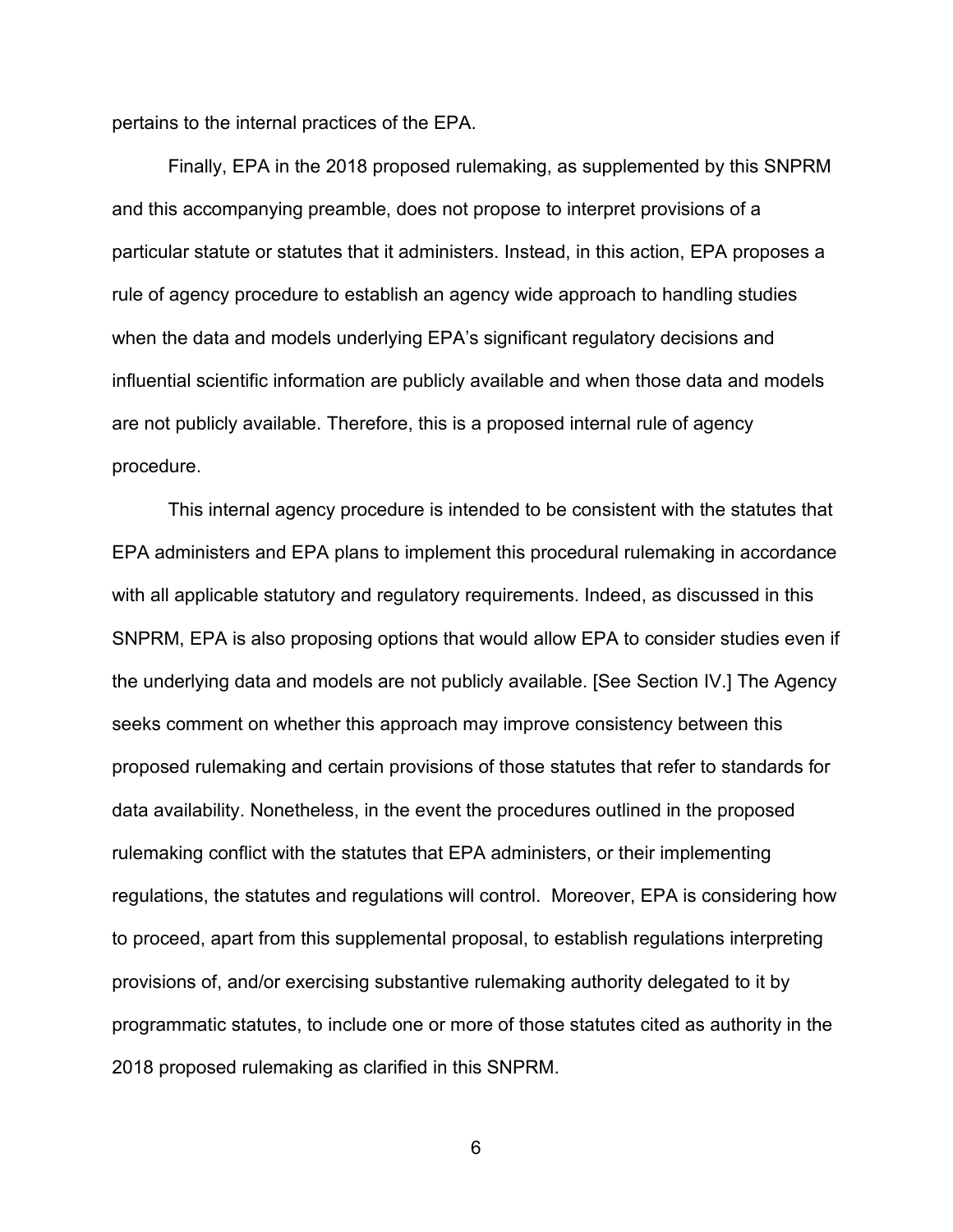pertains to the internal practices of the EPA.

Finally, EPA in the 2018 proposed rulemaking, as supplemented by this SNPRM and this accompanying preamble, does not propose to interpret provisions of a particular statute or statutes that it administers. Instead, in this action, EPA proposes a rule of agency procedure to establish an agency wide approach to handling studies when the data and models underlying EPA's significant regulatory decisions and influential scientific information are publicly available and when those data and models are not publicly available. Therefore, this is a proposed internal rule of agency procedure.

This internal agency procedure is intended to be consistent with the statutes that EPA administers and EPA plans to implement this procedural rulemaking in accordance with all applicable statutory and regulatory requirements. Indeed, as discussed in this SNPRM, EPA is also proposing options that would allow EPA to consider studies even if the underlying data and models are not publicly available. [See Section IV.] The Agency seeks comment on whether this approach may improve consistency between this proposed rulemaking and certain provisions of those statutes that refer to standards for data availability. Nonetheless, in the event the procedures outlined in the proposed rulemaking conflict with the statutes that EPA administers, or their implementing regulations, the statutes and regulations will control. Moreover, EPA is considering how to proceed, apart from this supplemental proposal, to establish regulations interpreting provisions of, and/or exercising substantive rulemaking authority delegated to it by programmatic statutes, to include one or more of those statutes cited as authority in the 2018 proposed rulemaking as clarified in this SNPRM.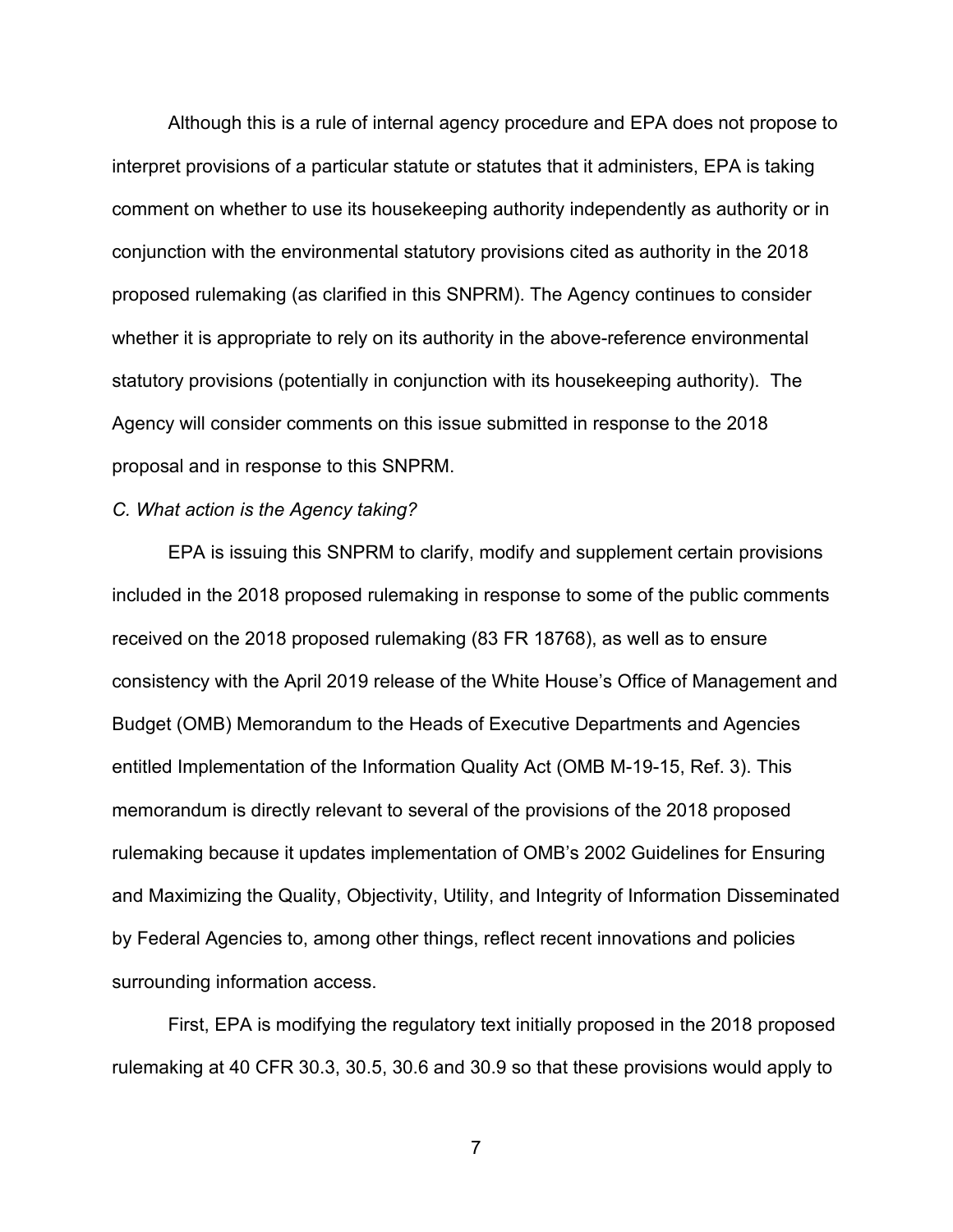Although this is a rule of internal agency procedure and EPA does not propose to interpret provisions of a particular statute or statutes that it administers, EPA is taking comment on whether to use its housekeeping authority independently as authority or in conjunction with the environmental statutory provisions cited as authority in the 2018 proposed rulemaking (as clarified in this SNPRM). The Agency continues to consider whether it is appropriate to rely on its authority in the above-reference environmental statutory provisions (potentially in conjunction with its housekeeping authority). The Agency will consider comments on this issue submitted in response to the 2018 proposal and in response to this SNPRM.

## *C. What action is the Agency taking?*

EPA is issuing this SNPRM to clarify, modify and supplement certain provisions included in the 2018 proposed rulemaking in response to some of the public comments received on the 2018 proposed rulemaking (83 FR 18768), as well as to ensure consistency with the April 2019 release of the White House's Office of Management and Budget (OMB) Memorandum to the Heads of Executive Departments and Agencies entitled Implementation of the Information Quality Act (OMB M-19-15, Ref. 3). This memorandum is directly relevant to several of the provisions of the 2018 proposed rulemaking because it updates implementation of OMB's 2002 Guidelines for Ensuring and Maximizing the Quality, Objectivity, Utility, and Integrity of Information Disseminated by Federal Agencies to, among other things, reflect recent innovations and policies surrounding information access.

First, EPA is modifying the regulatory text initially proposed in the 2018 proposed rulemaking at 40 CFR 30.3, 30.5, 30.6 and 30.9 so that these provisions would apply to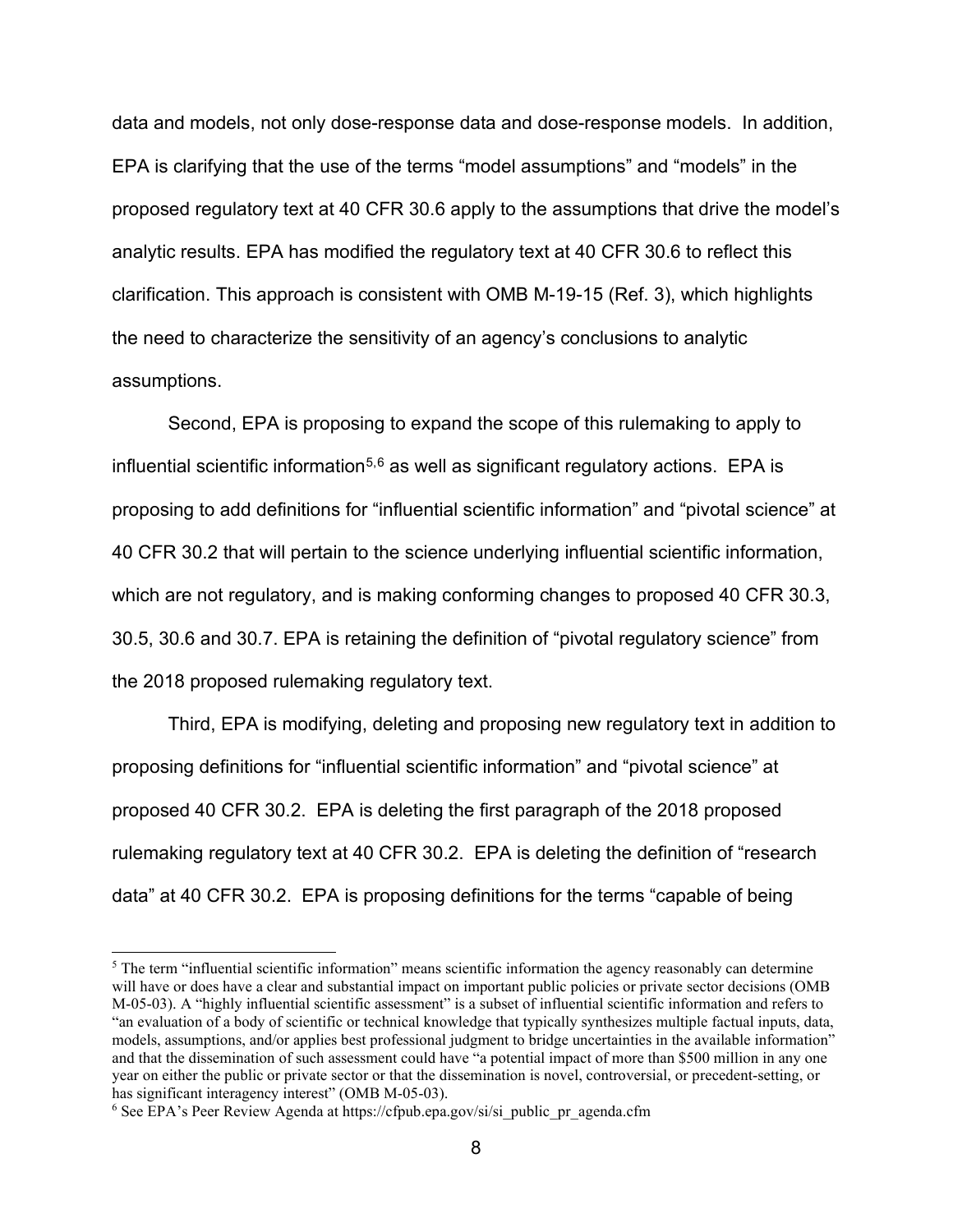data and models, not only dose-response data and dose-response models. In addition, EPA is clarifying that the use of the terms "model assumptions" and "models" in the proposed regulatory text at 40 CFR 30.6 apply to the assumptions that drive the model's analytic results. EPA has modified the regulatory text at 40 CFR 30.6 to reflect this clarification. This approach is consistent with OMB M-19-15 (Ref. 3), which highlights the need to characterize the sensitivity of an agency's conclusions to analytic assumptions.

Second, EPA is proposing to expand the scope of this rulemaking to apply to influential scientific information<sup>[5,](#page-7-0)[6](#page-7-1)</sup> as well as significant regulatory actions. EPA is proposing to add definitions for "influential scientific information" and "pivotal science" at 40 CFR 30.2 that will pertain to the science underlying influential scientific information, which are not regulatory, and is making conforming changes to proposed 40 CFR 30.3, 30.5, 30.6 and 30.7. EPA is retaining the definition of "pivotal regulatory science" from the 2018 proposed rulemaking regulatory text.

Third, EPA is modifying, deleting and proposing new regulatory text in addition to proposing definitions for "influential scientific information" and "pivotal science" at proposed 40 CFR 30.2. EPA is deleting the first paragraph of the 2018 proposed rulemaking regulatory text at 40 CFR 30.2. EPA is deleting the definition of "research data" at 40 CFR 30.2. EPA is proposing definitions for the terms "capable of being

<span id="page-7-0"></span><sup>&</sup>lt;sup>5</sup> The term "influential scientific information" means scientific information the agency reasonably can determine will have or does have a clear and substantial impact on important public policies or private sector decisions (OMB M-05-03). A "highly influential scientific assessment" is a subset of influential scientific information and refers to "an evaluation of a body of scientific or technical knowledge that typically synthesizes multiple factual inputs, data, models, assumptions, and/or applies best professional judgment to bridge uncertainties in the available information" and that the dissemination of such assessment could have "a potential impact of more than \$500 million in any one year on either the public or private sector or that the dissemination is novel, controversial, or precedent-setting, or has significant interagency interest" (OMB M-05-03).

<span id="page-7-1"></span><sup>&</sup>lt;sup>6</sup> See EPA's Peer Review Agenda at https://cfpub.epa.gov/si/si\_public\_pr\_agenda.cfm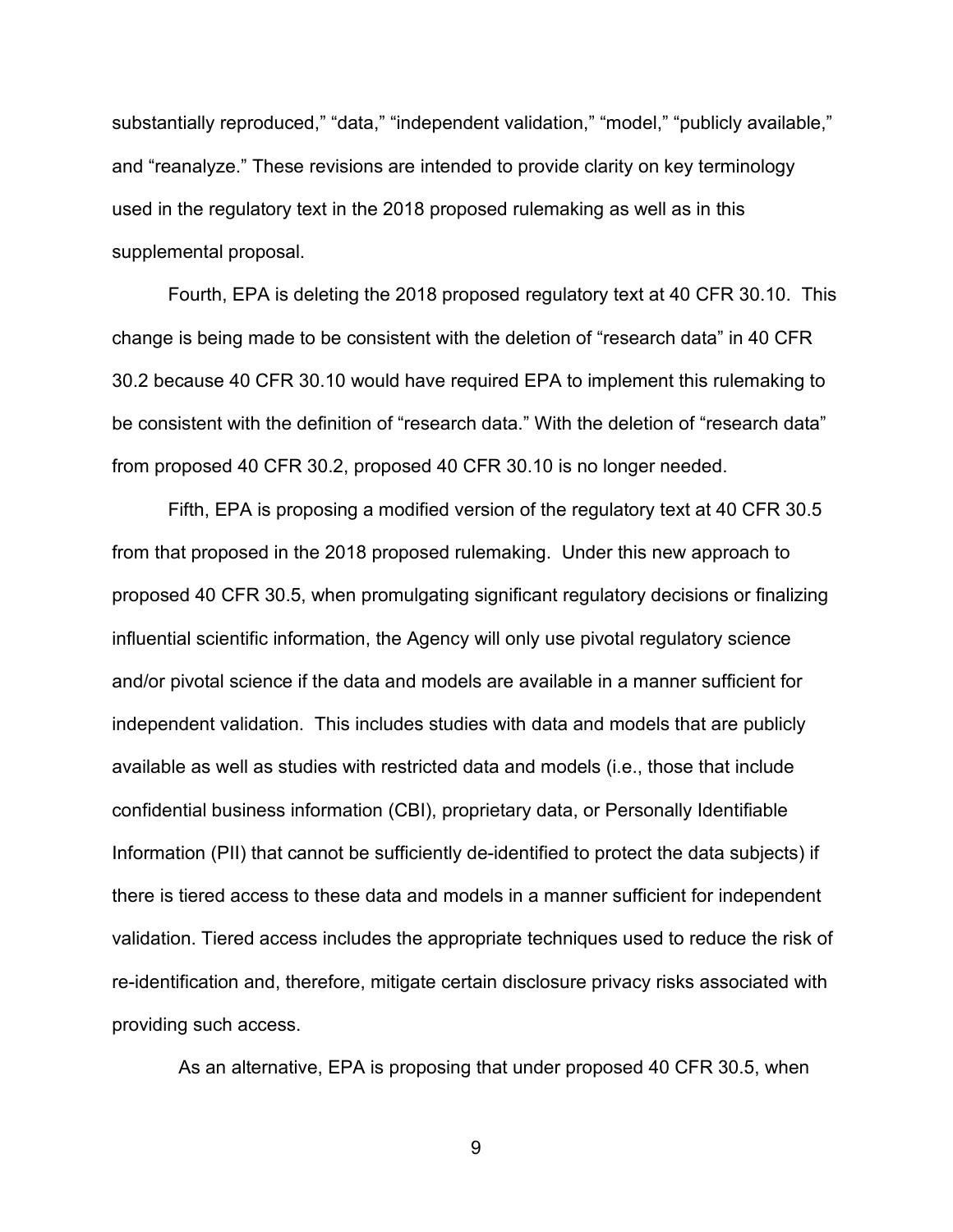substantially reproduced," "data," "independent validation," "model," "publicly available," and "reanalyze." These revisions are intended to provide clarity on key terminology used in the regulatory text in the 2018 proposed rulemaking as well as in this supplemental proposal.

Fourth, EPA is deleting the 2018 proposed regulatory text at 40 CFR 30.10. This change is being made to be consistent with the deletion of "research data" in 40 CFR 30.2 because 40 CFR 30.10 would have required EPA to implement this rulemaking to be consistent with the definition of "research data." With the deletion of "research data" from proposed 40 CFR 30.2, proposed 40 CFR 30.10 is no longer needed.

Fifth, EPA is proposing a modified version of the regulatory text at 40 CFR 30.5 from that proposed in the 2018 proposed rulemaking. Under this new approach to proposed 40 CFR 30.5, when promulgating significant regulatory decisions or finalizing influential scientific information, the Agency will only use pivotal regulatory science and/or pivotal science if the data and models are available in a manner sufficient for independent validation. This includes studies with data and models that are publicly available as well as studies with restricted data and models (i.e., those that include confidential business information (CBI), proprietary data, or Personally Identifiable Information (PII) that cannot be sufficiently de-identified to protect the data subjects) if there is tiered access to these data and models in a manner sufficient for independent validation. Tiered access includes the appropriate techniques used to reduce the risk of re-identification and, therefore, mitigate certain disclosure privacy risks associated with providing such access.

As an alternative, EPA is proposing that under proposed 40 CFR 30.5, when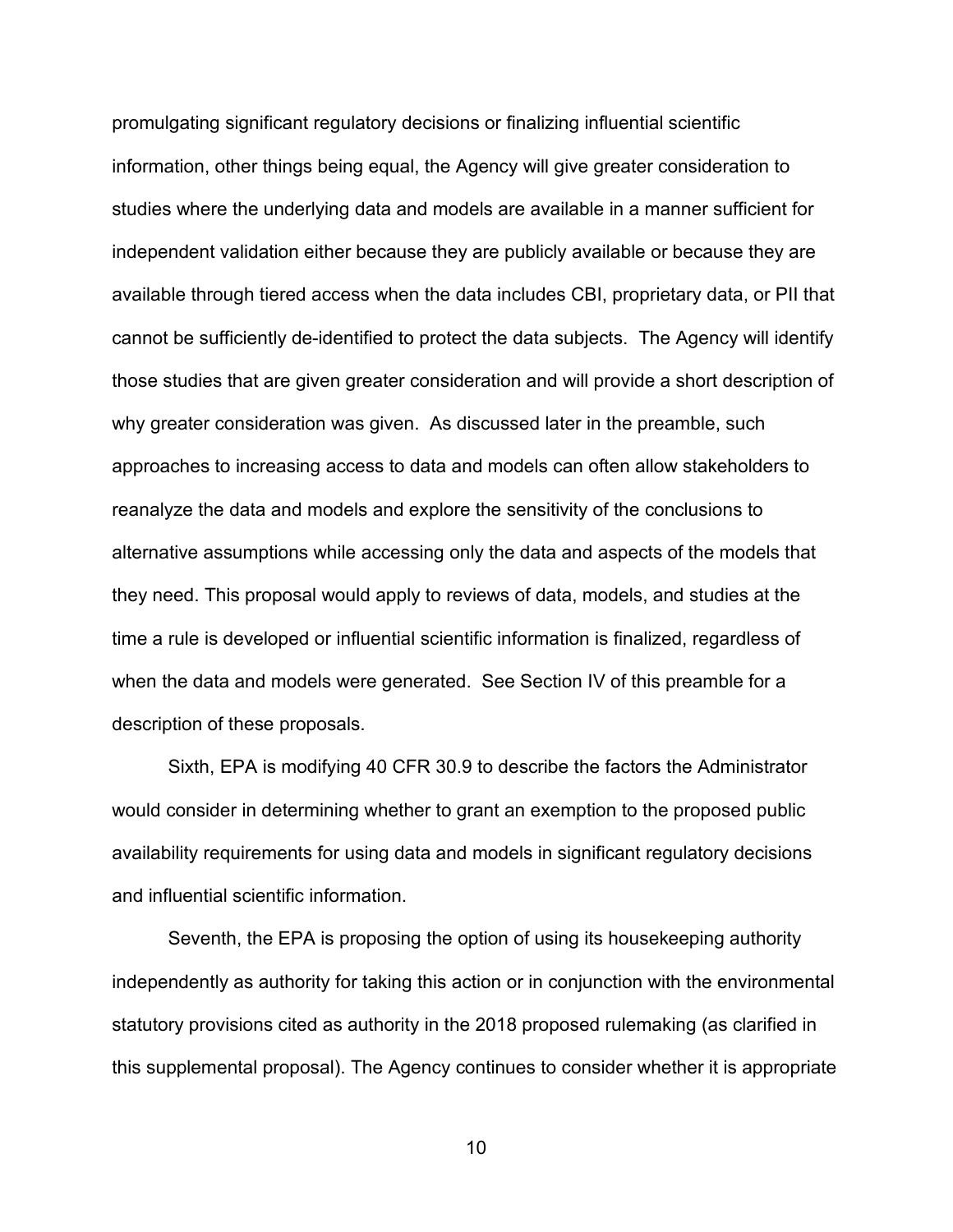promulgating significant regulatory decisions or finalizing influential scientific information, other things being equal, the Agency will give greater consideration to studies where the underlying data and models are available in a manner sufficient for independent validation either because they are publicly available or because they are available through tiered access when the data includes CBI, proprietary data, or PII that cannot be sufficiently de-identified to protect the data subjects. The Agency will identify those studies that are given greater consideration and will provide a short description of why greater consideration was given. As discussed later in the preamble, such approaches to increasing access to data and models can often allow stakeholders to reanalyze the data and models and explore the sensitivity of the conclusions to alternative assumptions while accessing only the data and aspects of the models that they need. This proposal would apply to reviews of data, models, and studies at the time a rule is developed or influential scientific information is finalized, regardless of when the data and models were generated. See Section IV of this preamble for a description of these proposals.

Sixth, EPA is modifying 40 CFR 30.9 to describe the factors the Administrator would consider in determining whether to grant an exemption to the proposed public availability requirements for using data and models in significant regulatory decisions and influential scientific information.

Seventh, the EPA is proposing the option of using its housekeeping authority independently as authority for taking this action or in conjunction with the environmental statutory provisions cited as authority in the 2018 proposed rulemaking (as clarified in this supplemental proposal). The Agency continues to consider whether it is appropriate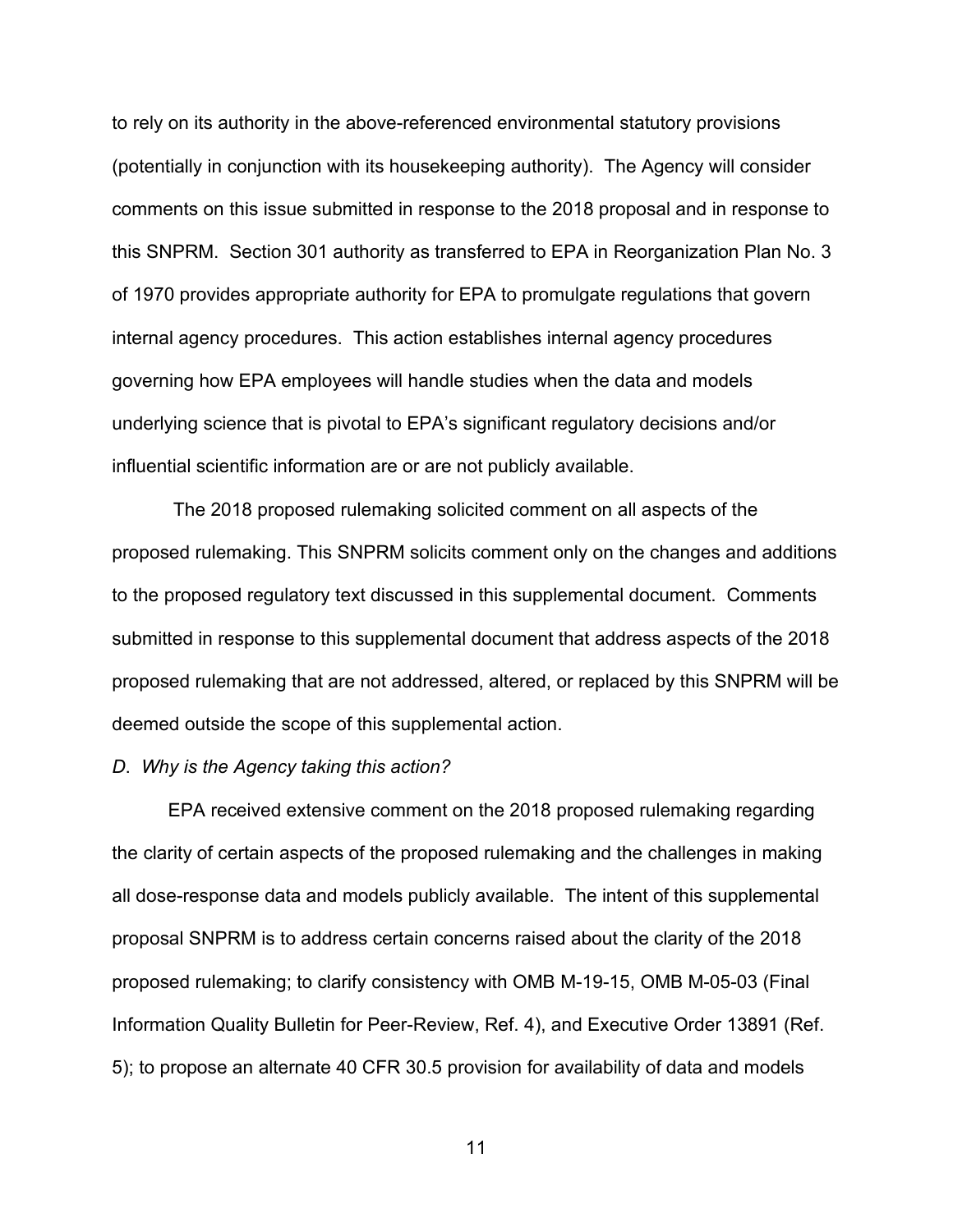to rely on its authority in the above-referenced environmental statutory provisions (potentially in conjunction with its housekeeping authority). The Agency will consider comments on this issue submitted in response to the 2018 proposal and in response to this SNPRM. Section 301 authority as transferred to EPA in Reorganization Plan No. 3 of 1970 provides appropriate authority for EPA to promulgate regulations that govern internal agency procedures. This action establishes internal agency procedures governing how EPA employees will handle studies when the data and models underlying science that is pivotal to EPA's significant regulatory decisions and/or influential scientific information are or are not publicly available.

The 2018 proposed rulemaking solicited comment on all aspects of the proposed rulemaking. This SNPRM solicits comment only on the changes and additions to the proposed regulatory text discussed in this supplemental document. Comments submitted in response to this supplemental document that address aspects of the 2018 proposed rulemaking that are not addressed, altered, or replaced by this SNPRM will be deemed outside the scope of this supplemental action.

#### *D*. *Why is the Agency taking this action?*

EPA received extensive comment on the 2018 proposed rulemaking regarding the clarity of certain aspects of the proposed rulemaking and the challenges in making all dose-response data and models publicly available. The intent of this supplemental proposal SNPRM is to address certain concerns raised about the clarity of the 2018 proposed rulemaking; to clarify consistency with OMB M-19-15, OMB M-05-03 (Final Information Quality Bulletin for Peer-Review, Ref. 4), and Executive Order 13891 (Ref. 5); to propose an alternate 40 CFR 30.5 provision for availability of data and models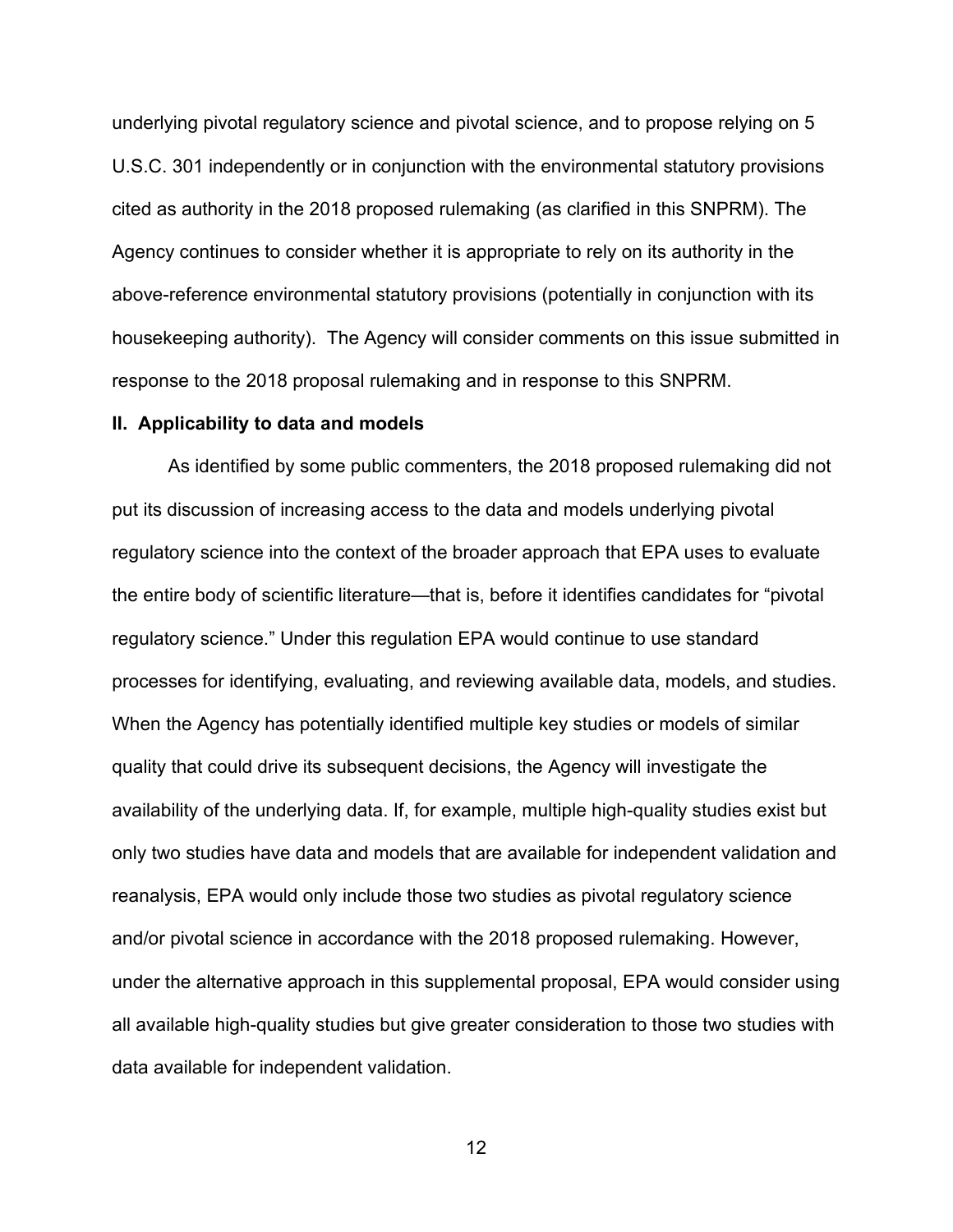underlying pivotal regulatory science and pivotal science, and to propose relying on 5 U.S.C. 301 independently or in conjunction with the environmental statutory provisions cited as authority in the 2018 proposed rulemaking (as clarified in this SNPRM). The Agency continues to consider whether it is appropriate to rely on its authority in the above-reference environmental statutory provisions (potentially in conjunction with its housekeeping authority). The Agency will consider comments on this issue submitted in response to the 2018 proposal rulemaking and in response to this SNPRM.

#### **II. Applicability to data and models**

As identified by some public commenters, the 2018 proposed rulemaking did not put its discussion of increasing access to the data and models underlying pivotal regulatory science into the context of the broader approach that EPA uses to evaluate the entire body of scientific literature—that is, before it identifies candidates for "pivotal regulatory science." Under this regulation EPA would continue to use standard processes for identifying, evaluating, and reviewing available data, models, and studies. When the Agency has potentially identified multiple key studies or models of similar quality that could drive its subsequent decisions, the Agency will investigate the availability of the underlying data. If, for example, multiple high-quality studies exist but only two studies have data and models that are available for independent validation and reanalysis, EPA would only include those two studies as pivotal regulatory science and/or pivotal science in accordance with the 2018 proposed rulemaking. However, under the alternative approach in this supplemental proposal, EPA would consider using all available high-quality studies but give greater consideration to those two studies with data available for independent validation.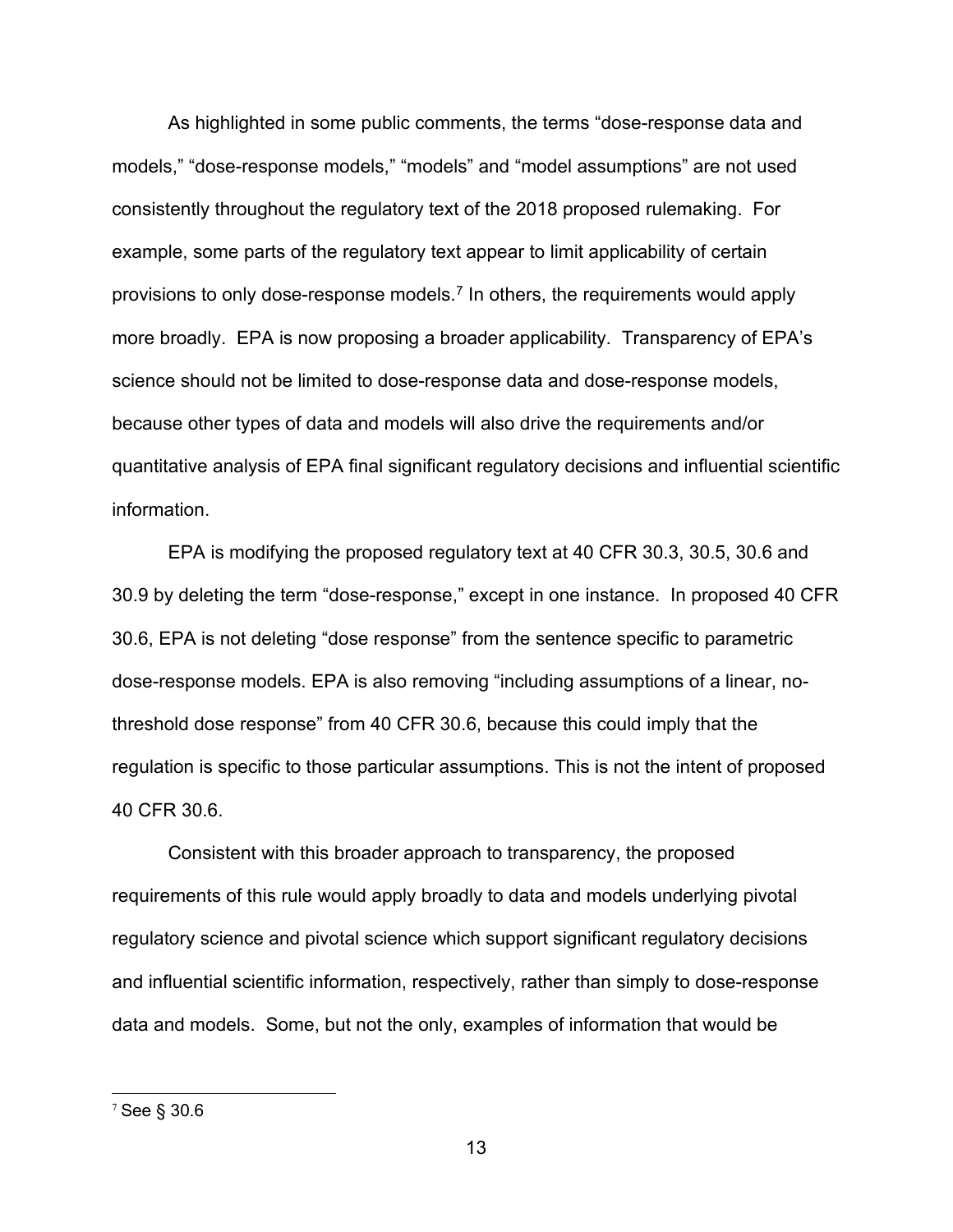As highlighted in some public comments, the terms "dose-response data and models," "dose-response models," "models" and "model assumptions" are not used consistently throughout the regulatory text of the 2018 proposed rulemaking. For example, some parts of the regulatory text appear to limit applicability of certain provisions to only dose-response models.<sup>[7](#page-12-0)</sup> In others, the requirements would apply more broadly. EPA is now proposing a broader applicability. Transparency of EPA's science should not be limited to dose-response data and dose-response models, because other types of data and models will also drive the requirements and/or quantitative analysis of EPA final significant regulatory decisions and influential scientific information.

EPA is modifying the proposed regulatory text at 40 CFR 30.3, 30.5, 30.6 and 30.9 by deleting the term "dose-response," except in one instance. In proposed 40 CFR 30.6, EPA is not deleting "dose response" from the sentence specific to parametric dose-response models. EPA is also removing "including assumptions of a linear, nothreshold dose response" from 40 CFR 30.6, because this could imply that the regulation is specific to those particular assumptions. This is not the intent of proposed 40 CFR 30.6.

Consistent with this broader approach to transparency, the proposed requirements of this rule would apply broadly to data and models underlying pivotal regulatory science and pivotal science which support significant regulatory decisions and influential scientific information, respectively, rather than simply to dose-response data and models. Some, but not the only, examples of information that would be

<span id="page-12-0"></span><sup>7</sup> See § 30.6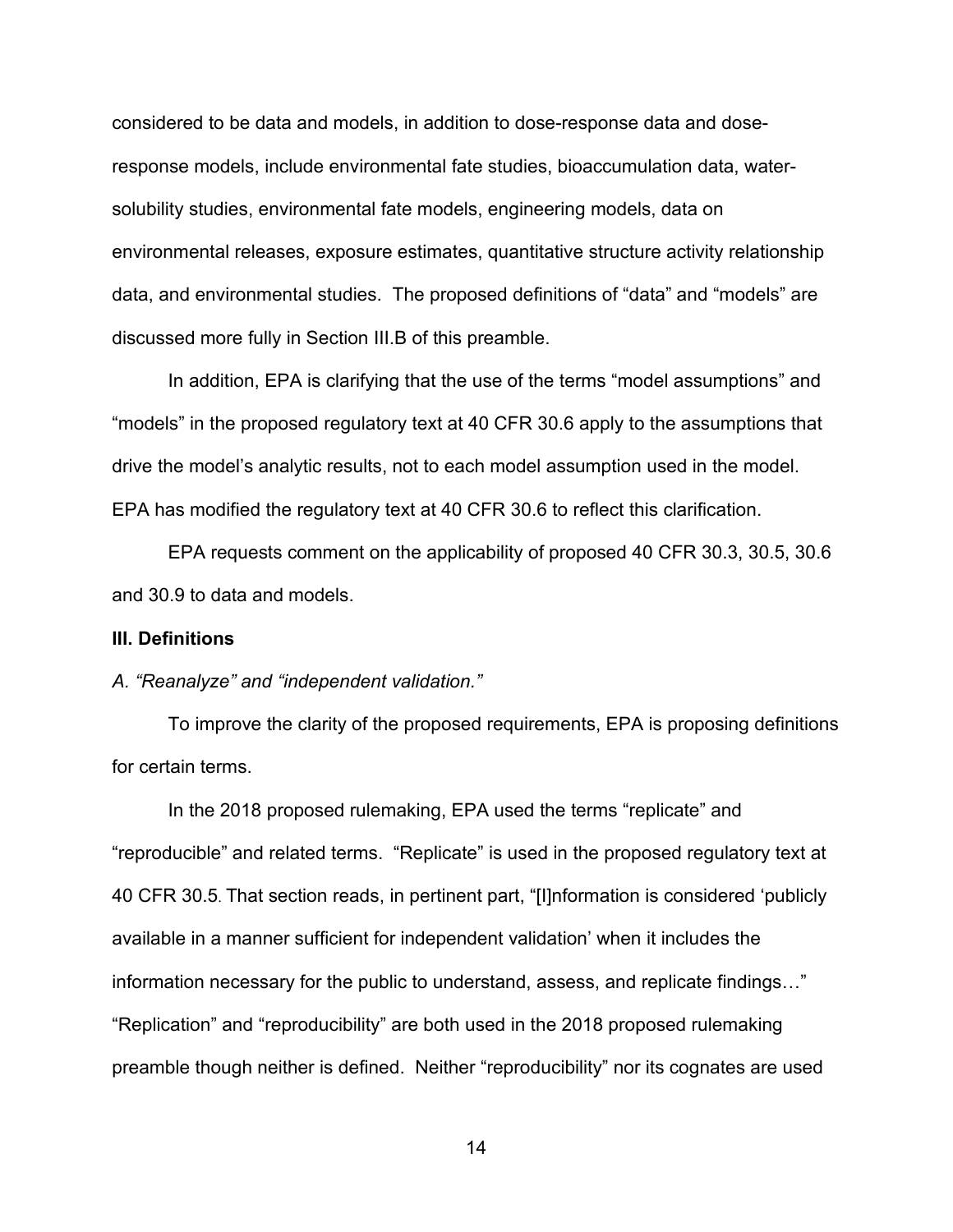considered to be data and models, in addition to dose-response data and doseresponse models, include environmental fate studies, bioaccumulation data, watersolubility studies, environmental fate models, engineering models, data on environmental releases, exposure estimates, quantitative structure activity relationship data, and environmental studies. The proposed definitions of "data" and "models" are discussed more fully in Section III.B of this preamble.

In addition, EPA is clarifying that the use of the terms "model assumptions" and "models" in the proposed regulatory text at 40 CFR 30.6 apply to the assumptions that drive the model's analytic results, not to each model assumption used in the model. EPA has modified the regulatory text at 40 CFR 30.6 to reflect this clarification.

EPA requests comment on the applicability of proposed 40 CFR 30.3, 30.5, 30.6 and 30.9 to data and models.

#### **III. Definitions**

## *A. "Reanalyze" and "independent validation."*

To improve the clarity of the proposed requirements, EPA is proposing definitions for certain terms.

In the 2018 proposed rulemaking, EPA used the terms "replicate" and "reproducible" and related terms. "Replicate" is used in the proposed regulatory text at 40 CFR 30.5. That section reads, in pertinent part, "[I]nformation is considered 'publicly available in a manner sufficient for independent validation' when it includes the information necessary for the public to understand, assess, and replicate findings…" "Replication" and "reproducibility" are both used in the 2018 proposed rulemaking preamble though neither is defined. Neither "reproducibility" nor its cognates are used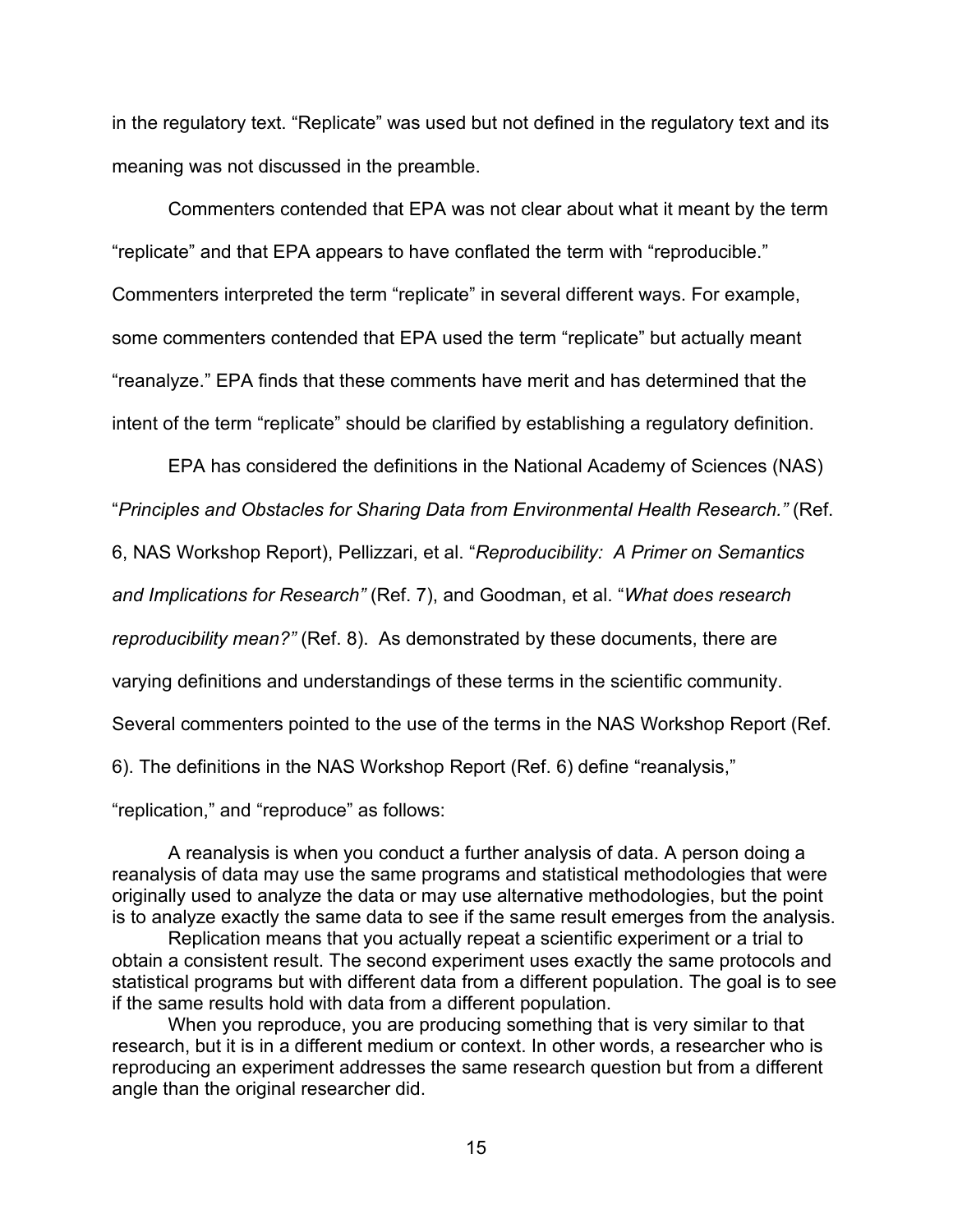in the regulatory text. "Replicate" was used but not defined in the regulatory text and its meaning was not discussed in the preamble.

Commenters contended that EPA was not clear about what it meant by the term "replicate" and that EPA appears to have conflated the term with "reproducible." Commenters interpreted the term "replicate" in several different ways. For example, some commenters contended that EPA used the term "replicate" but actually meant "reanalyze." EPA finds that these comments have merit and has determined that the intent of the term "replicate" should be clarified by establishing a regulatory definition.

EPA has considered the definitions in the National Academy of Sciences (NAS) "*Principles and Obstacles for Sharing Data from Environmental Health Research."* (Ref.

6, NAS Workshop Report), Pellizzari, et al. "*Reproducibility: A Primer on Semantics* 

*and Implications for Research"* (Ref. 7), and Goodman, et al. "*What does research* 

*reproducibility mean?"* (Ref. 8). As demonstrated by these documents, there are

varying definitions and understandings of these terms in the scientific community.

Several commenters pointed to the use of the terms in the NAS Workshop Report (Ref.

6). The definitions in the NAS Workshop Report (Ref. 6) define "reanalysis,"

"replication," and "reproduce" as follows:

A reanalysis is when you conduct a further analysis of data. A person doing a reanalysis of data may use the same programs and statistical methodologies that were originally used to analyze the data or may use alternative methodologies, but the point is to analyze exactly the same data to see if the same result emerges from the analysis.

Replication means that you actually repeat a scientific experiment or a trial to obtain a consistent result. The second experiment uses exactly the same protocols and statistical programs but with different data from a different population. The goal is to see if the same results hold with data from a different population.

When you reproduce, you are producing something that is very similar to that research, but it is in a different medium or context. In other words, a researcher who is reproducing an experiment addresses the same research question but from a different angle than the original researcher did.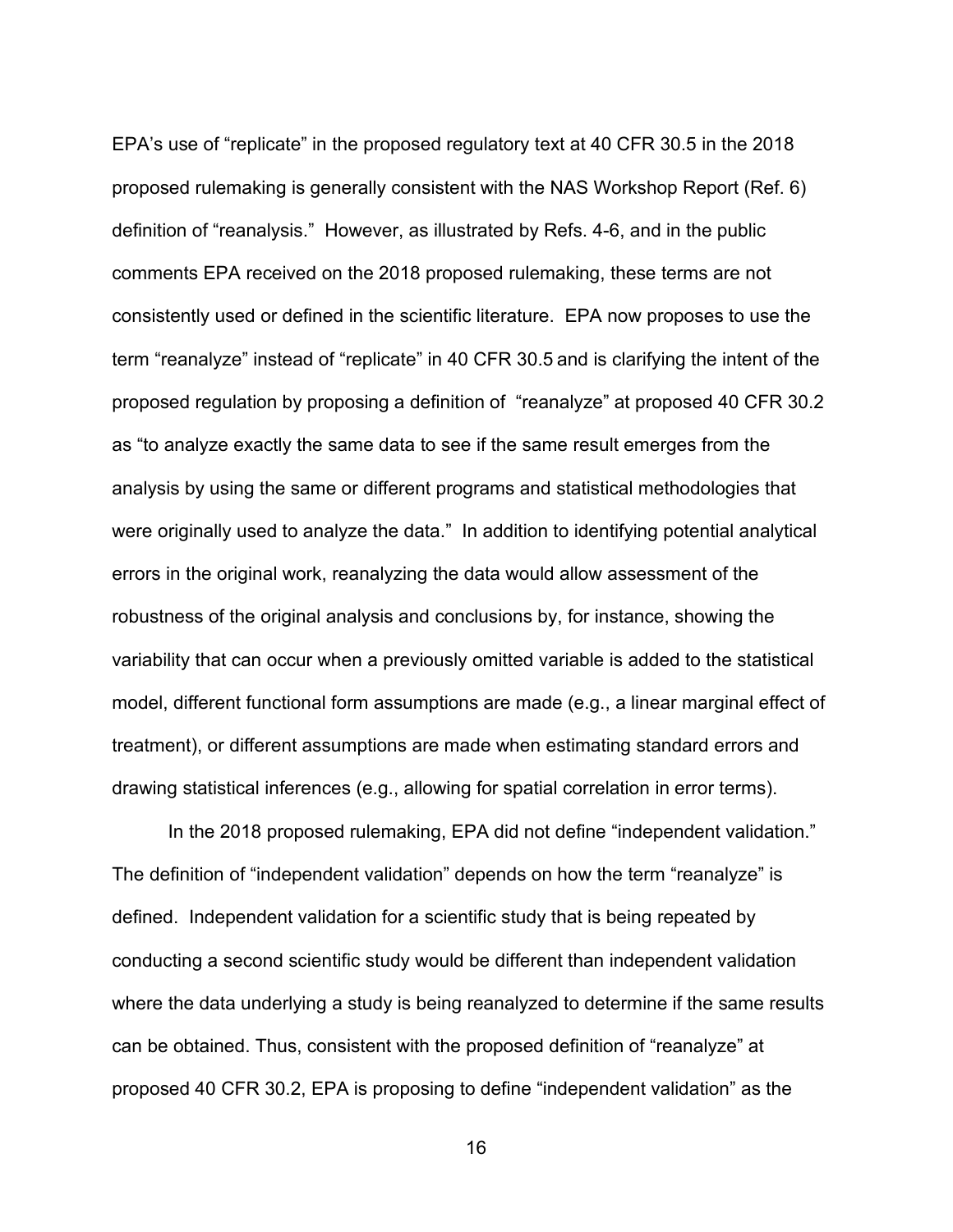EPA's use of "replicate" in the proposed regulatory text at 40 CFR 30.5 in the 2018 proposed rulemaking is generally consistent with the NAS Workshop Report (Ref. 6) definition of "reanalysis." However, as illustrated by Refs. 4-6, and in the public comments EPA received on the 2018 proposed rulemaking, these terms are not consistently used or defined in the scientific literature. EPA now proposes to use the term "reanalyze" instead of "replicate" in 40 CFR 30.5 and is clarifying the intent of the proposed regulation by proposing a definition of "reanalyze" at proposed 40 CFR 30.2 as "to analyze exactly the same data to see if the same result emerges from the analysis by using the same or different programs and statistical methodologies that were originally used to analyze the data." In addition to identifying potential analytical errors in the original work, reanalyzing the data would allow assessment of the robustness of the original analysis and conclusions by, for instance, showing the variability that can occur when a previously omitted variable is added to the statistical model, different functional form assumptions are made (e.g., a linear marginal effect of treatment), or different assumptions are made when estimating standard errors and drawing statistical inferences (e.g., allowing for spatial correlation in error terms).

In the 2018 proposed rulemaking, EPA did not define "independent validation." The definition of "independent validation" depends on how the term "reanalyze" is defined. Independent validation for a scientific study that is being repeated by conducting a second scientific study would be different than independent validation where the data underlying a study is being reanalyzed to determine if the same results can be obtained. Thus, consistent with the proposed definition of "reanalyze" at proposed 40 CFR 30.2, EPA is proposing to define "independent validation" as the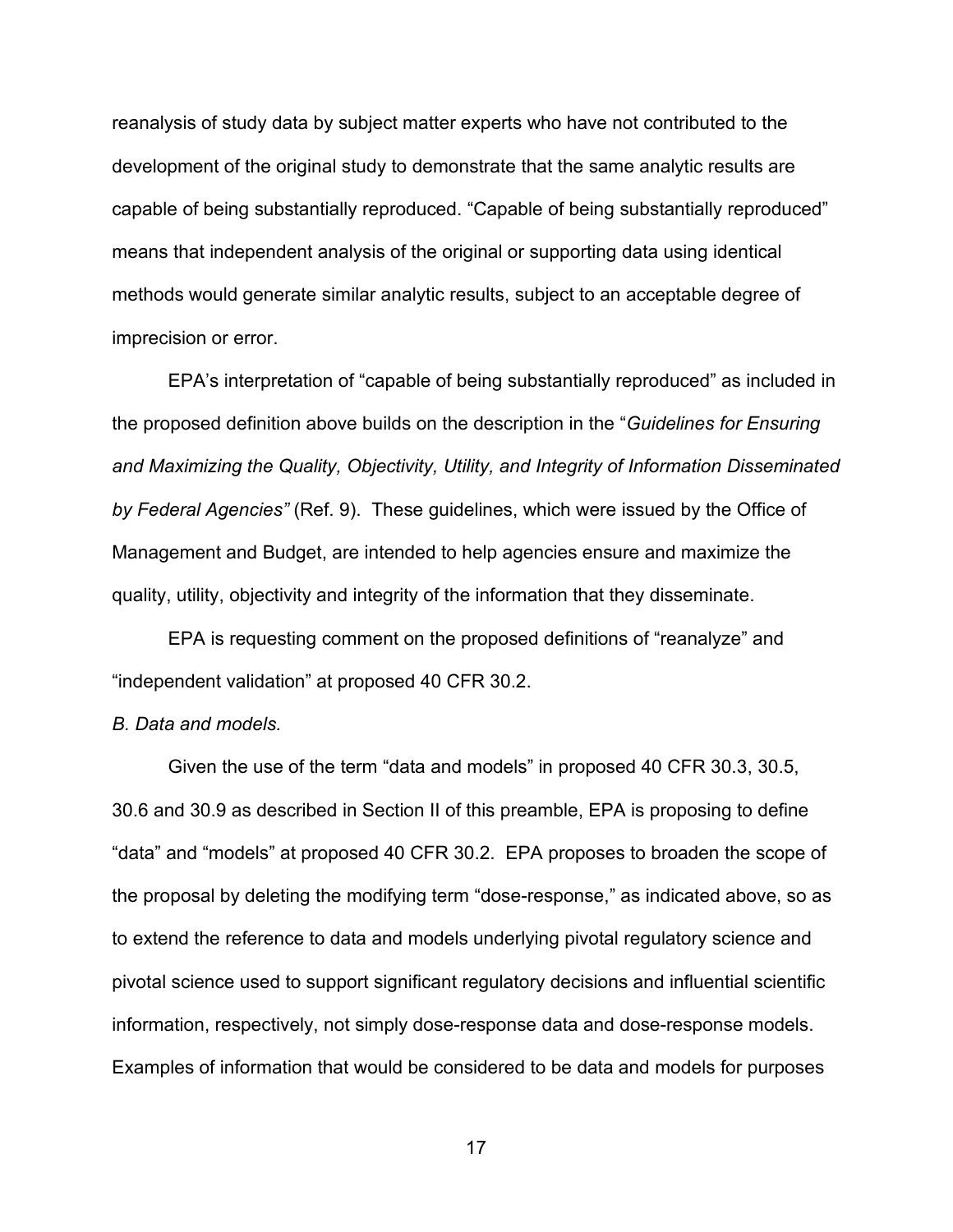reanalysis of study data by subject matter experts who have not contributed to the development of the original study to demonstrate that the same analytic results are capable of being substantially reproduced. "Capable of being substantially reproduced" means that independent analysis of the original or supporting data using identical methods would generate similar analytic results, subject to an acceptable degree of imprecision or error.

EPA's interpretation of "capable of being substantially reproduced" as included in the proposed definition above builds on the description in the "*Guidelines for Ensuring and Maximizing the Quality, Objectivity, Utility, and Integrity of Information Disseminated by Federal Agencies"* (Ref. 9). These guidelines, which were issued by the Office of Management and Budget, are intended to help agencies ensure and maximize the quality, utility, objectivity and integrity of the information that they disseminate.

EPA is requesting comment on the proposed definitions of "reanalyze" and "independent validation" at proposed 40 CFR 30.2.

## *B. Data and models.*

Given the use of the term "data and models" in proposed 40 CFR 30.3, 30.5, 30.6 and 30.9 as described in Section II of this preamble, EPA is proposing to define "data" and "models" at proposed 40 CFR 30.2. EPA proposes to broaden the scope of the proposal by deleting the modifying term "dose-response," as indicated above, so as to extend the reference to data and models underlying pivotal regulatory science and pivotal science used to support significant regulatory decisions and influential scientific information, respectively, not simply dose-response data and dose-response models. Examples of information that would be considered to be data and models for purposes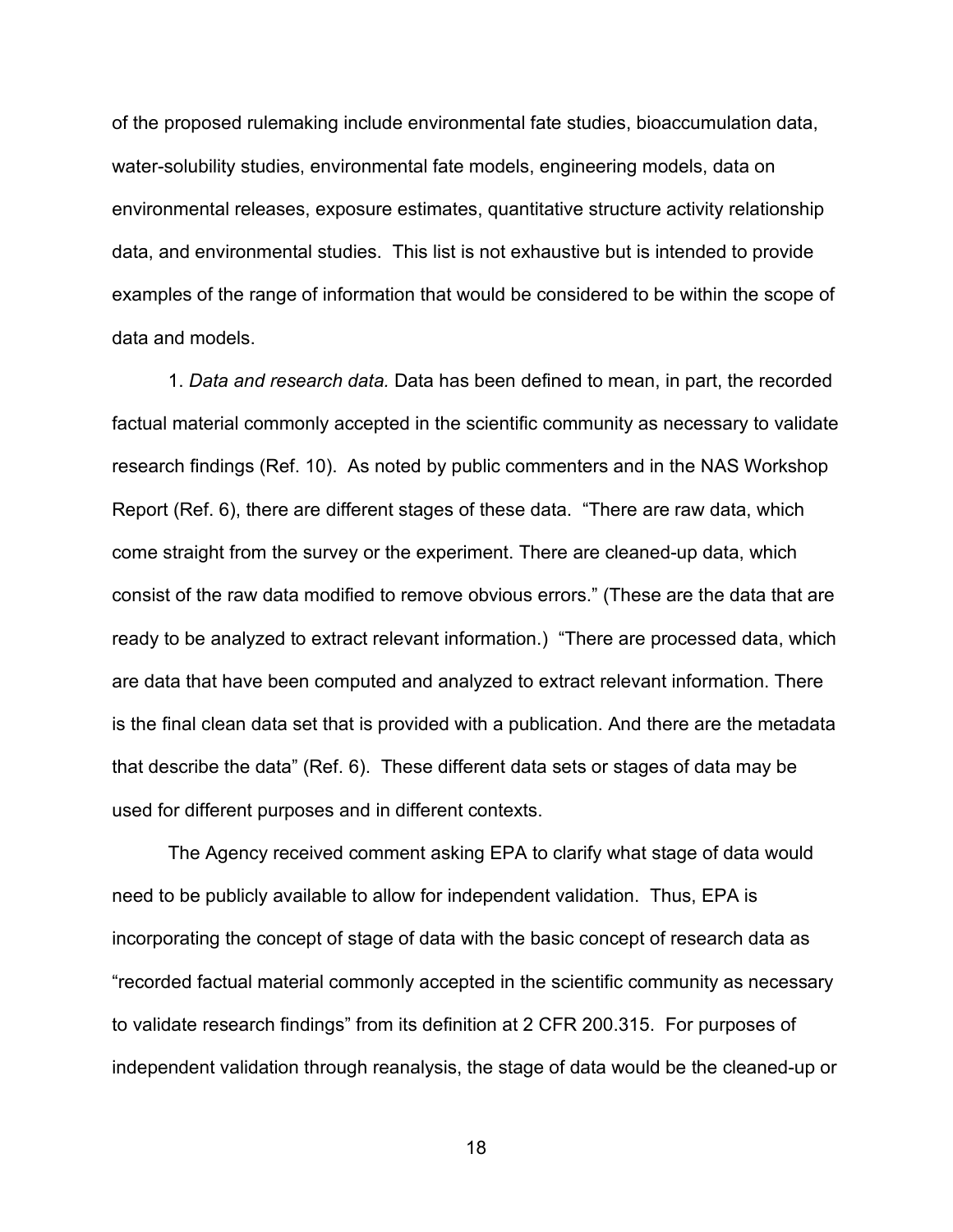of the proposed rulemaking include environmental fate studies, bioaccumulation data, water-solubility studies, environmental fate models, engineering models, data on environmental releases, exposure estimates, quantitative structure activity relationship data, and environmental studies. This list is not exhaustive but is intended to provide examples of the range of information that would be considered to be within the scope of data and models.

1. *Data and research data.* Data has been defined to mean, in part, the recorded factual material commonly accepted in the scientific community as necessary to validate research findings (Ref. 10). As noted by public commenters and in the NAS Workshop Report (Ref. 6), there are different stages of these data. "There are raw data, which come straight from the survey or the experiment. There are cleaned-up data, which consist of the raw data modified to remove obvious errors." (These are the data that are ready to be analyzed to extract relevant information.) "There are processed data, which are data that have been computed and analyzed to extract relevant information. There is the final clean data set that is provided with a publication. And there are the metadata that describe the data" (Ref. 6). These different data sets or stages of data may be used for different purposes and in different contexts.

The Agency received comment asking EPA to clarify what stage of data would need to be publicly available to allow for independent validation. Thus, EPA is incorporating the concept of stage of data with the basic concept of research data as "recorded factual material commonly accepted in the scientific community as necessary to validate research findings" from its definition at 2 CFR 200.315. For purposes of independent validation through reanalysis, the stage of data would be the cleaned-up or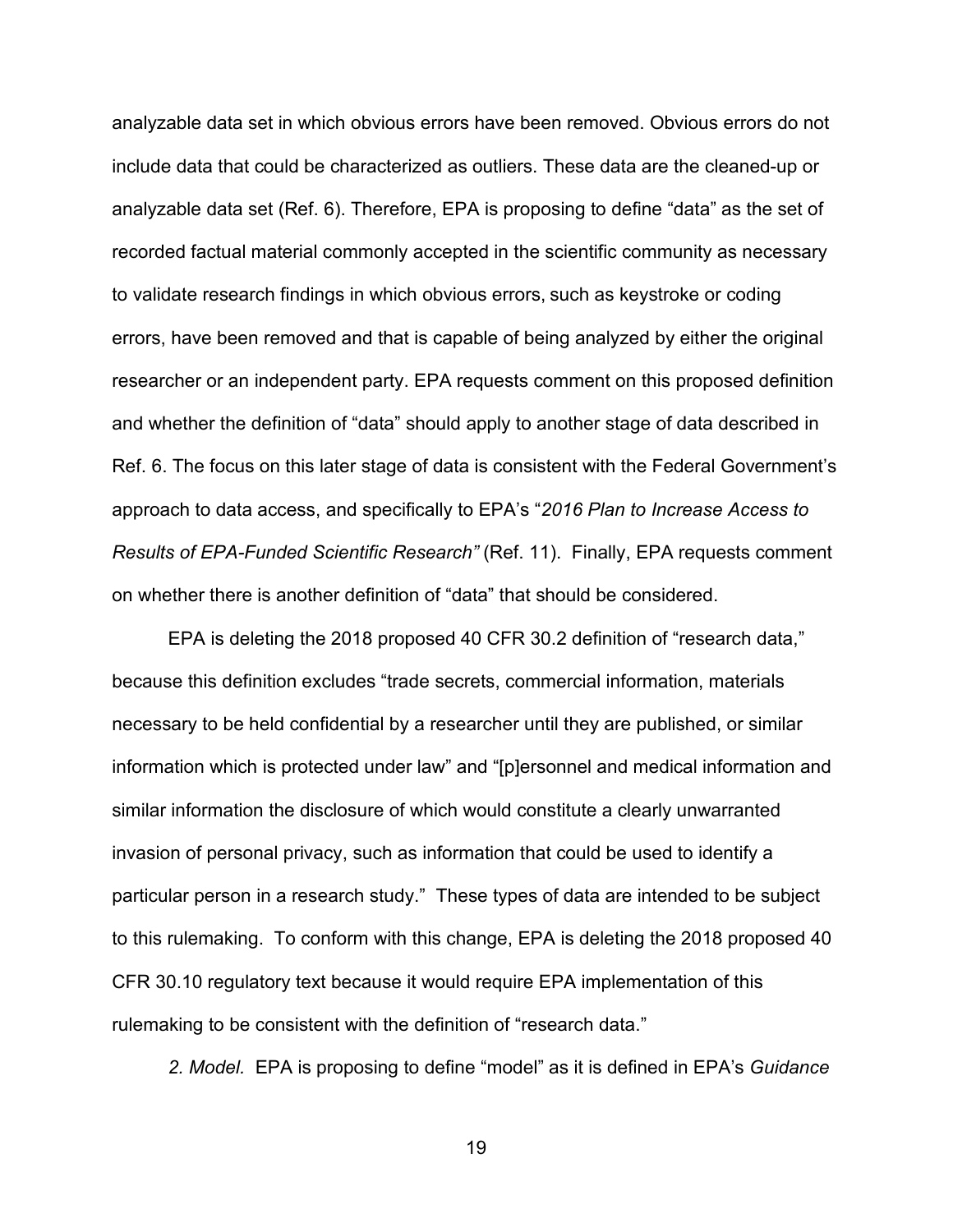analyzable data set in which obvious errors have been removed. Obvious errors do not include data that could be characterized as outliers. These data are the cleaned-up or analyzable data set (Ref. 6). Therefore, EPA is proposing to define "data" as the set of recorded factual material commonly accepted in the scientific community as necessary to validate research findings in which obvious errors, such as keystroke or coding errors, have been removed and that is capable of being analyzed by either the original researcher or an independent party. EPA requests comment on this proposed definition and whether the definition of "data" should apply to another stage of data described in Ref. 6. The focus on this later stage of data is consistent with the Federal Government's approach to data access, and specifically to EPA's "*2016 Plan to Increase Access to Results of EPA-Funded Scientific Research"* (Ref. 11). Finally, EPA requests comment on whether there is another definition of "data" that should be considered.

EPA is deleting the 2018 proposed 40 CFR 30.2 definition of "research data," because this definition excludes "trade secrets, commercial information, materials necessary to be held confidential by a researcher until they are published, or similar information which is protected under law" and "[p]ersonnel and medical information and similar information the disclosure of which would constitute a clearly unwarranted invasion of personal privacy, such as information that could be used to identify a particular person in a research study." These types of data are intended to be subject to this rulemaking. To conform with this change, EPA is deleting the 2018 proposed 40 CFR 30.10 regulatory text because it would require EPA implementation of this rulemaking to be consistent with the definition of "research data."

*2. Model.* EPA is proposing to define "model" as it is defined in EPA's *Guidance*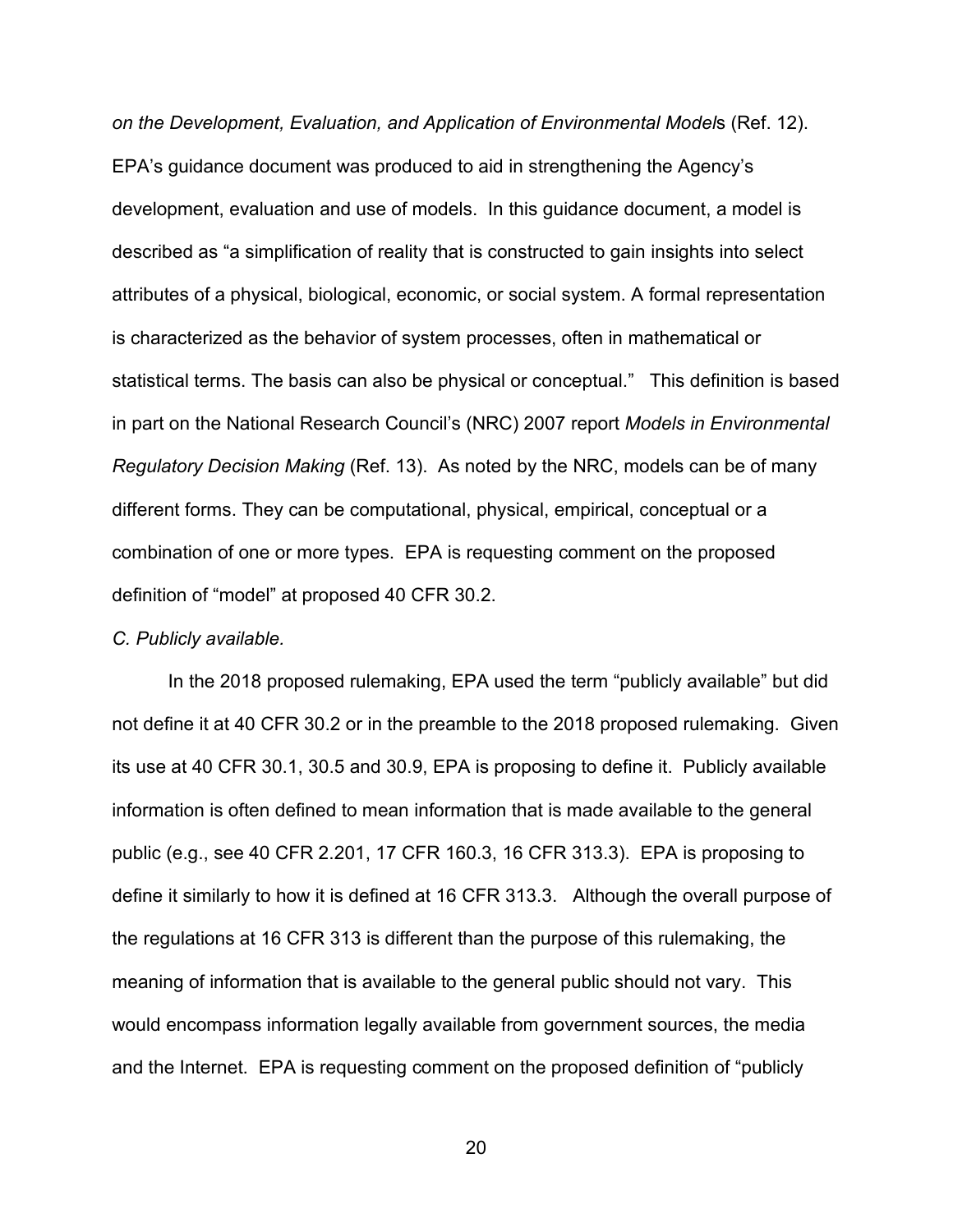*on the Development, Evaluation, and Application of Environmental Model*s (Ref. 12). EPA's guidance document was produced to aid in strengthening the Agency's development, evaluation and use of models. In this guidance document, a model is described as "a simplification of reality that is constructed to gain insights into select attributes of a physical, biological, economic, or social system. A formal representation is characterized as the behavior of system processes, often in mathematical or statistical terms. The basis can also be physical or conceptual." This definition is based in part on the National Research Council's (NRC) 2007 report *Models in Environmental Regulatory Decision Making* (Ref. 13). As noted by the NRC, models can be of many different forms. They can be computational, physical, empirical, conceptual or a combination of one or more types. EPA is requesting comment on the proposed definition of "model" at proposed 40 CFR 30.2.

#### *C. Publicly available.*

In the 2018 proposed rulemaking, EPA used the term "publicly available" but did not define it at 40 CFR 30.2 or in the preamble to the 2018 proposed rulemaking. Given its use at 40 CFR 30.1, 30.5 and 30.9, EPA is proposing to define it. Publicly available information is often defined to mean information that is made available to the general public (e.g., see 40 CFR 2.201, 17 CFR 160.3, 16 CFR 313.3). EPA is proposing to define it similarly to how it is defined at 16 CFR 313.3. Although the overall purpose of the regulations at 16 CFR 313 is different than the purpose of this rulemaking, the meaning of information that is available to the general public should not vary. This would encompass information legally available from government sources, the media and the Internet. EPA is requesting comment on the proposed definition of "publicly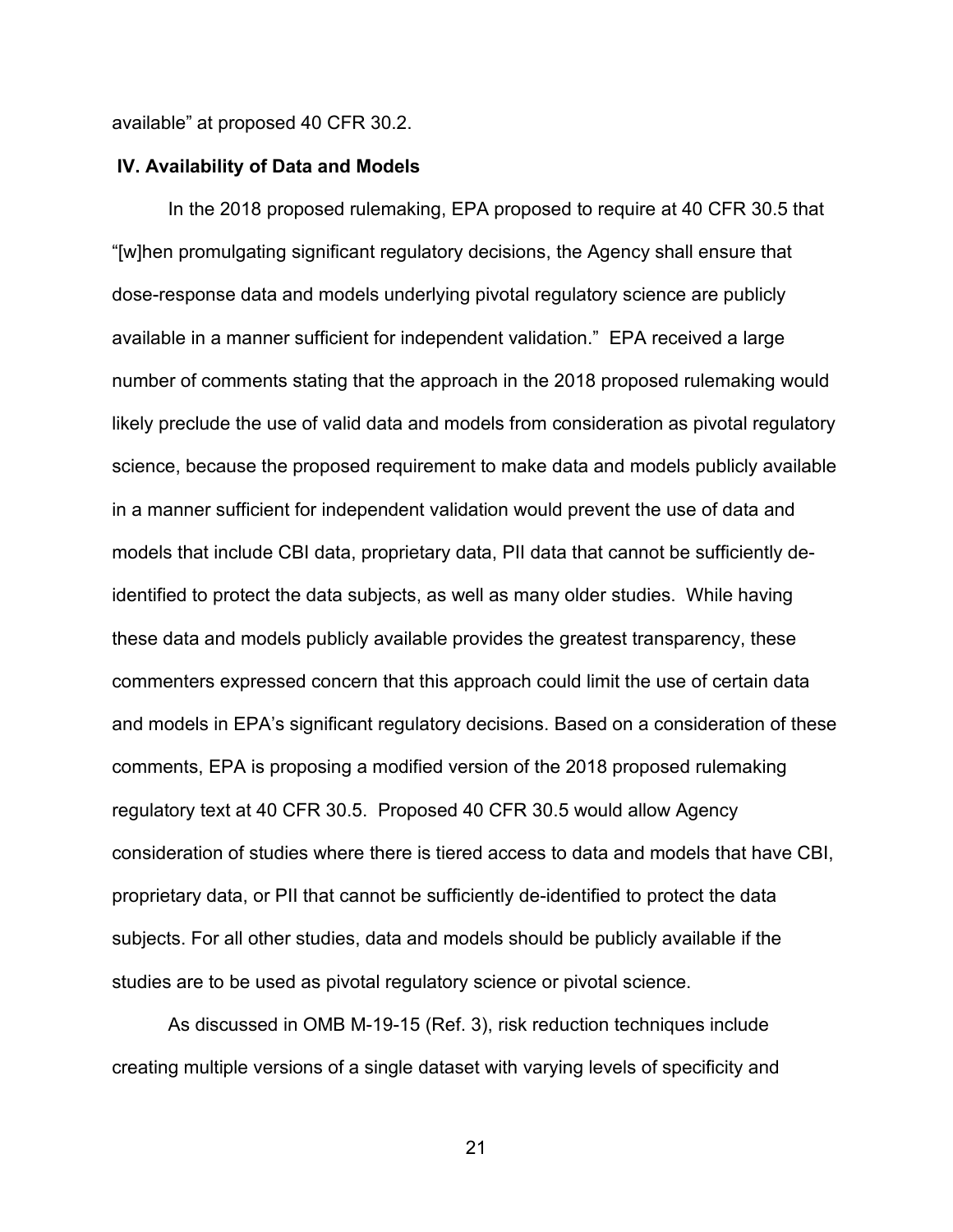available" at proposed 40 CFR 30.2.

## **IV. Availability of Data and Models**

In the 2018 proposed rulemaking, EPA proposed to require at 40 CFR 30.5 that "[w]hen promulgating significant regulatory decisions, the Agency shall ensure that dose-response data and models underlying pivotal regulatory science are publicly available in a manner sufficient for independent validation." EPA received a large number of comments stating that the approach in the 2018 proposed rulemaking would likely preclude the use of valid data and models from consideration as pivotal regulatory science, because the proposed requirement to make data and models publicly available in a manner sufficient for independent validation would prevent the use of data and models that include CBI data, proprietary data, PII data that cannot be sufficiently deidentified to protect the data subjects, as well as many older studies. While having these data and models publicly available provides the greatest transparency, these commenters expressed concern that this approach could limit the use of certain data and models in EPA's significant regulatory decisions. Based on a consideration of these comments, EPA is proposing a modified version of the 2018 proposed rulemaking regulatory text at 40 CFR 30.5. Proposed 40 CFR 30.5 would allow Agency consideration of studies where there is tiered access to data and models that have CBI, proprietary data, or PII that cannot be sufficiently de-identified to protect the data subjects. For all other studies, data and models should be publicly available if the studies are to be used as pivotal regulatory science or pivotal science.

As discussed in OMB M-19-15 (Ref. 3), risk reduction techniques include creating multiple versions of a single dataset with varying levels of specificity and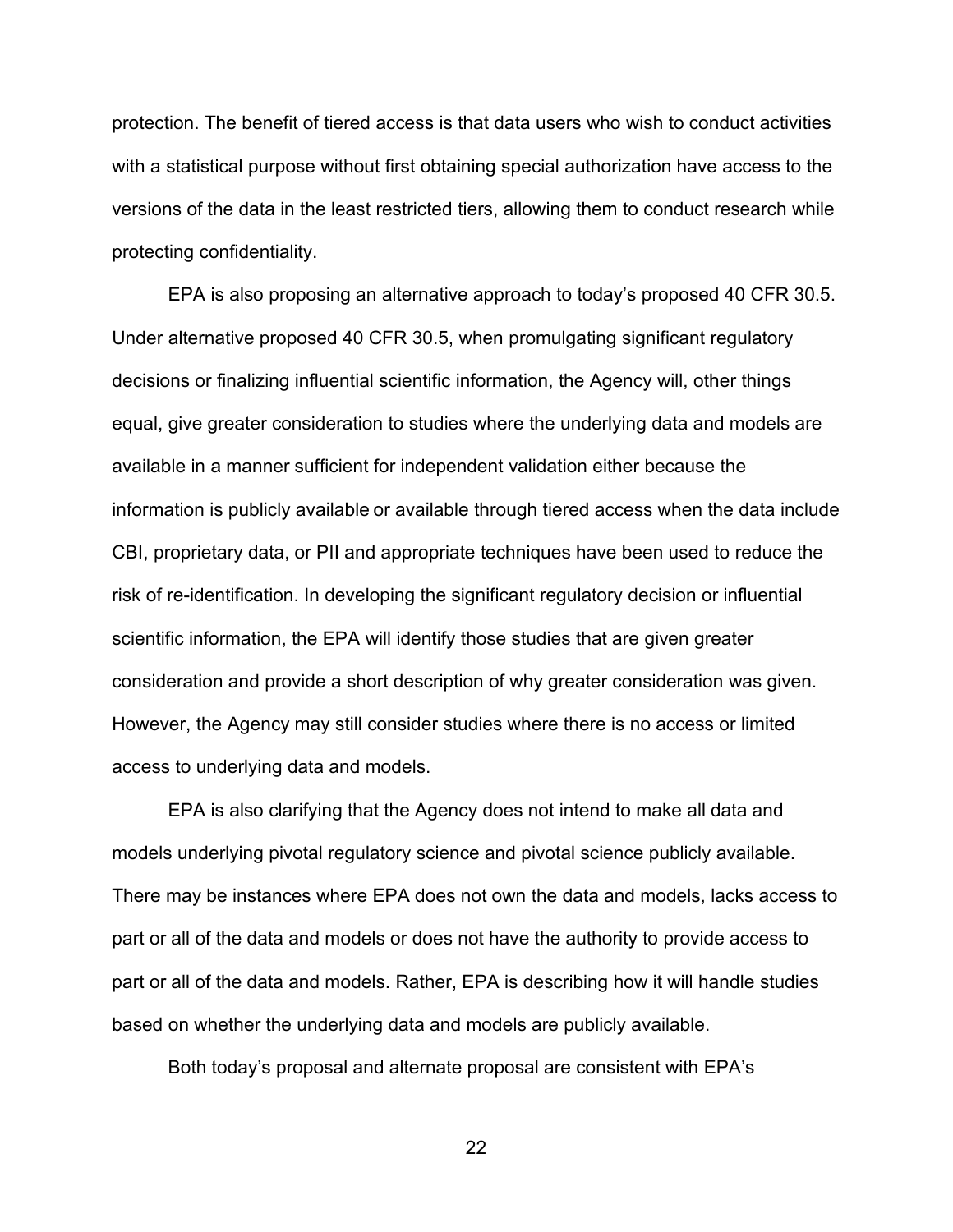protection. The benefit of tiered access is that data users who wish to conduct activities with a statistical purpose without first obtaining special authorization have access to the versions of the data in the least restricted tiers, allowing them to conduct research while protecting confidentiality.

EPA is also proposing an alternative approach to today's proposed 40 CFR 30.5. Under alternative proposed 40 CFR 30.5, when promulgating significant regulatory decisions or finalizing influential scientific information, the Agency will, other things equal, give greater consideration to studies where the underlying data and models are available in a manner sufficient for independent validation either because the information is publicly available or available through tiered access when the data include CBI, proprietary data, or PII and appropriate techniques have been used to reduce the risk of re-identification. In developing the significant regulatory decision or influential scientific information, the EPA will identify those studies that are given greater consideration and provide a short description of why greater consideration was given. However, the Agency may still consider studies where there is no access or limited access to underlying data and models.

EPA is also clarifying that the Agency does not intend to make all data and models underlying pivotal regulatory science and pivotal science publicly available. There may be instances where EPA does not own the data and models, lacks access to part or all of the data and models or does not have the authority to provide access to part or all of the data and models. Rather, EPA is describing how it will handle studies based on whether the underlying data and models are publicly available.

Both today's proposal and alternate proposal are consistent with EPA's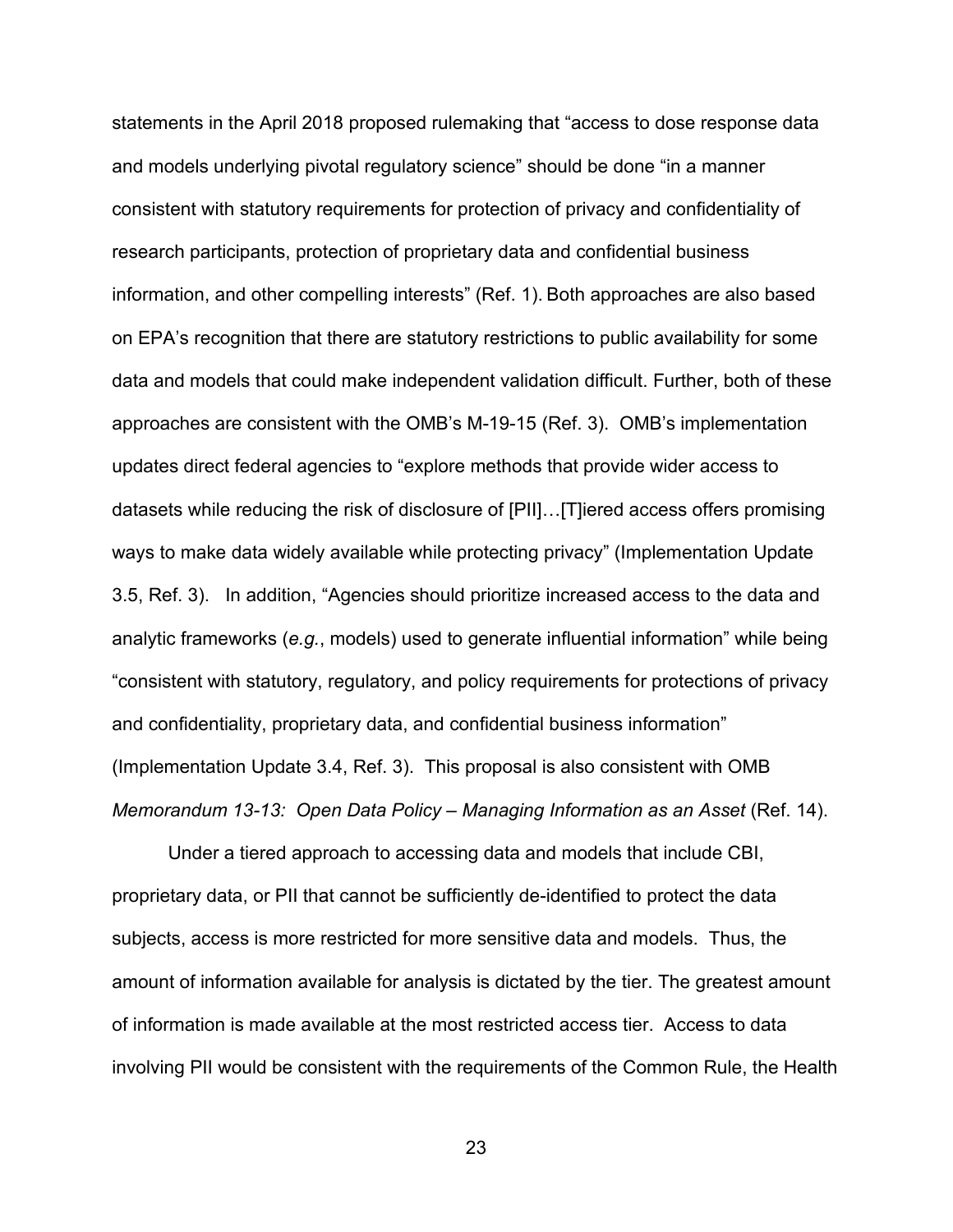statements in the April 2018 proposed rulemaking that "access to dose response data and models underlying pivotal regulatory science" should be done "in a manner consistent with statutory requirements for protection of privacy and confidentiality of research participants, protection of proprietary data and confidential business information, and other compelling interests" (Ref. 1). Both approaches are also based on EPA's recognition that there are statutory restrictions to public availability for some data and models that could make independent validation difficult. Further, both of these approaches are consistent with the OMB's M-19-15 (Ref. 3). OMB's implementation updates direct federal agencies to "explore methods that provide wider access to datasets while reducing the risk of disclosure of [PII]…[T]iered access offers promising ways to make data widely available while protecting privacy" (Implementation Update 3.5, Ref. 3). In addition, "Agencies should prioritize increased access to the data and analytic frameworks (*e.g.*, models) used to generate influential information" while being "consistent with statutory, regulatory, and policy requirements for protections of privacy and confidentiality, proprietary data, and confidential business information" (Implementation Update 3.4, Ref. 3). This proposal is also consistent with OMB *Memorandum 13-13: Open Data Policy – Managing Information as an Asset* (Ref. 14).

Under a tiered approach to accessing data and models that include CBI, proprietary data, or PII that cannot be sufficiently de-identified to protect the data subjects, access is more restricted for more sensitive data and models. Thus, the amount of information available for analysis is dictated by the tier. The greatest amount of information is made available at the most restricted access tier. Access to data involving PII would be consistent with the requirements of the Common Rule, the Health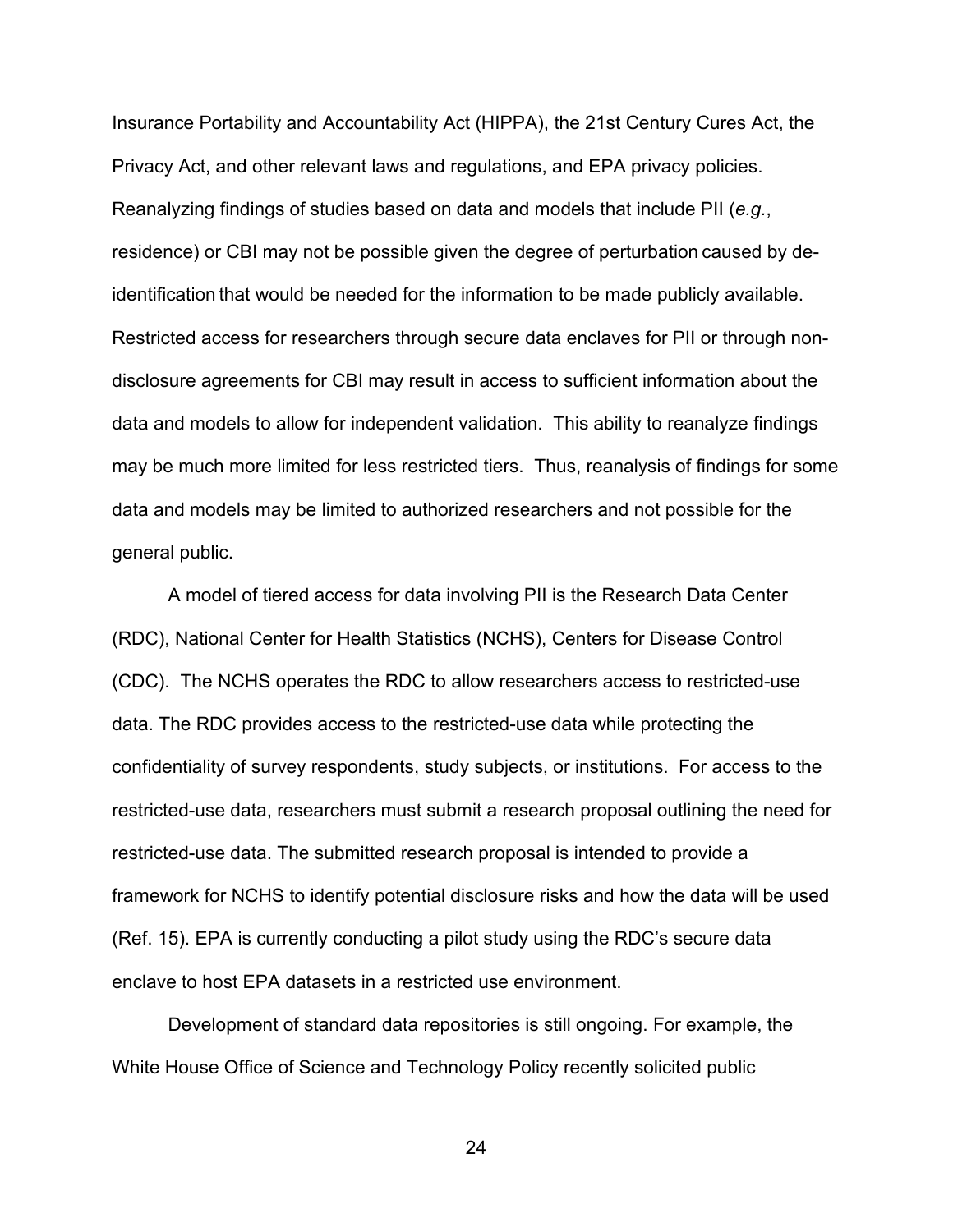Insurance Portability and Accountability Act (HIPPA), the 21st Century Cures Act, the Privacy Act, and other relevant laws and regulations, and EPA privacy policies. Reanalyzing findings of studies based on data and models that include PII (*e.g.*, residence) or CBI may not be possible given the degree of perturbation caused by deidentification that would be needed for the information to be made publicly available. Restricted access for researchers through secure data enclaves for PII or through nondisclosure agreements for CBI may result in access to sufficient information about the data and models to allow for independent validation. This ability to reanalyze findings may be much more limited for less restricted tiers. Thus, reanalysis of findings for some data and models may be limited to authorized researchers and not possible for the general public.

A model of tiered access for data involving PII is the Research Data Center (RDC), National Center for Health Statistics (NCHS), Centers for Disease Control (CDC). The NCHS operates the RDC to allow researchers access to restricted-use data. The RDC provides access to the restricted-use data while protecting the confidentiality of survey respondents, study subjects, or institutions. For access to the restricted-use data, researchers must submit a research proposal outlining the need for restricted-use data. The submitted research proposal is intended to provide a framework for NCHS to identify potential disclosure risks and how the data will be used (Ref. 15). EPA is currently conducting a pilot study using the RDC's secure data enclave to host EPA datasets in a restricted use environment.

Development of standard data repositories is still ongoing. For example, the White House Office of Science and Technology Policy recently solicited public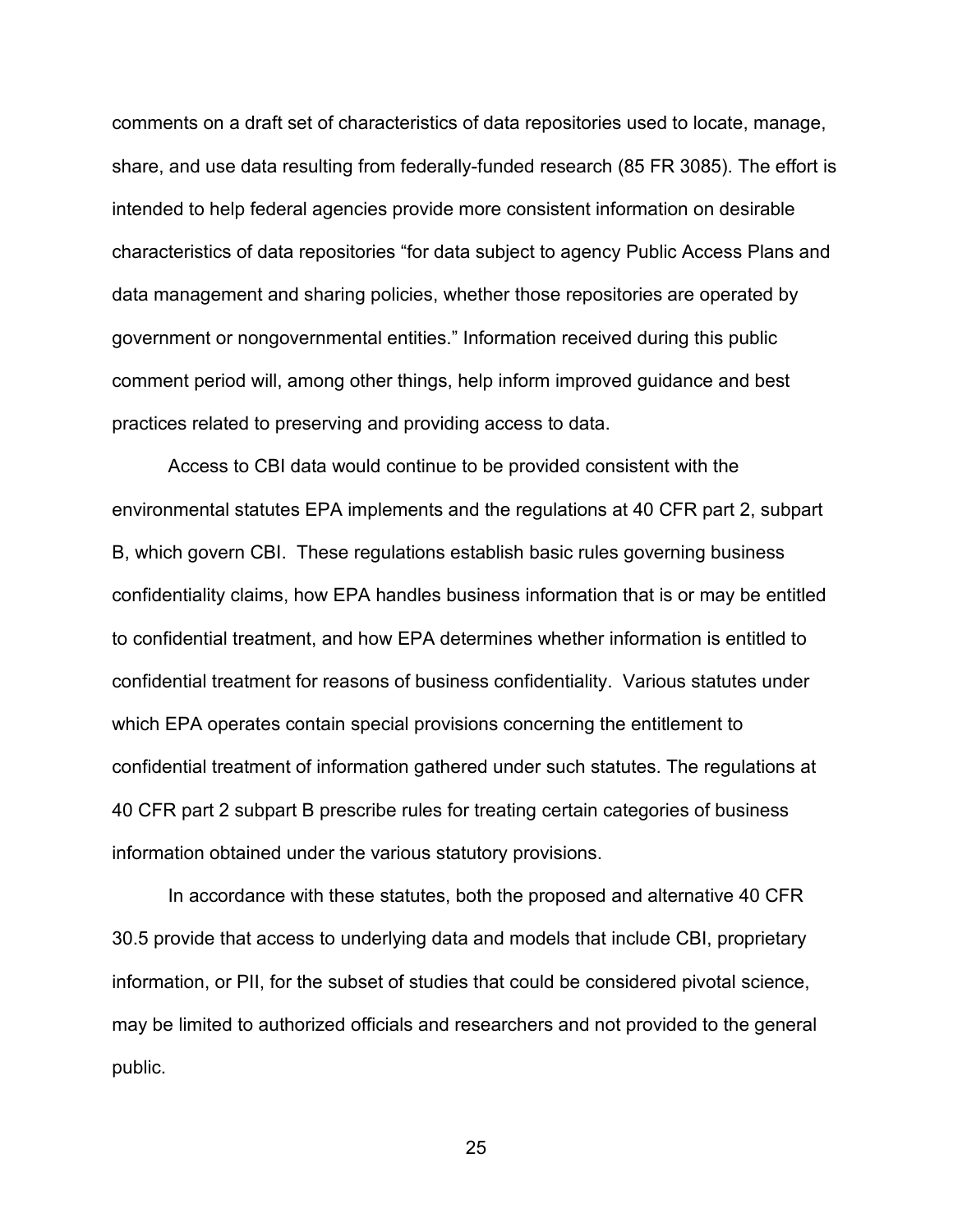comments on a draft set of characteristics of data repositories used to locate, manage, share, and use data resulting from federally-funded research (85 FR 3085). The effort is intended to help federal agencies provide more consistent information on desirable characteristics of data repositories "for data subject to agency Public Access Plans and data management and sharing policies, whether those repositories are operated by government or nongovernmental entities." Information received during this public comment period will, among other things, help inform improved guidance and best practices related to preserving and providing access to data.

Access to CBI data would continue to be provided consistent with the environmental statutes EPA implements and the regulations at 40 CFR part 2, subpart B, which govern CBI. These regulations establish basic rules governing business confidentiality claims, how EPA handles business information that is or may be entitled to confidential treatment, and how EPA determines whether information is entitled to confidential treatment for reasons of business confidentiality. Various statutes under which EPA operates contain special provisions concerning the entitlement to confidential treatment of information gathered under such statutes. The regulations at 40 CFR part 2 subpart B prescribe rules for treating certain categories of business information obtained under the various statutory provisions.

In accordance with these statutes, both the proposed and alternative 40 CFR 30.5 provide that access to underlying data and models that include CBI, proprietary information, or PII, for the subset of studies that could be considered pivotal science, may be limited to authorized officials and researchers and not provided to the general public.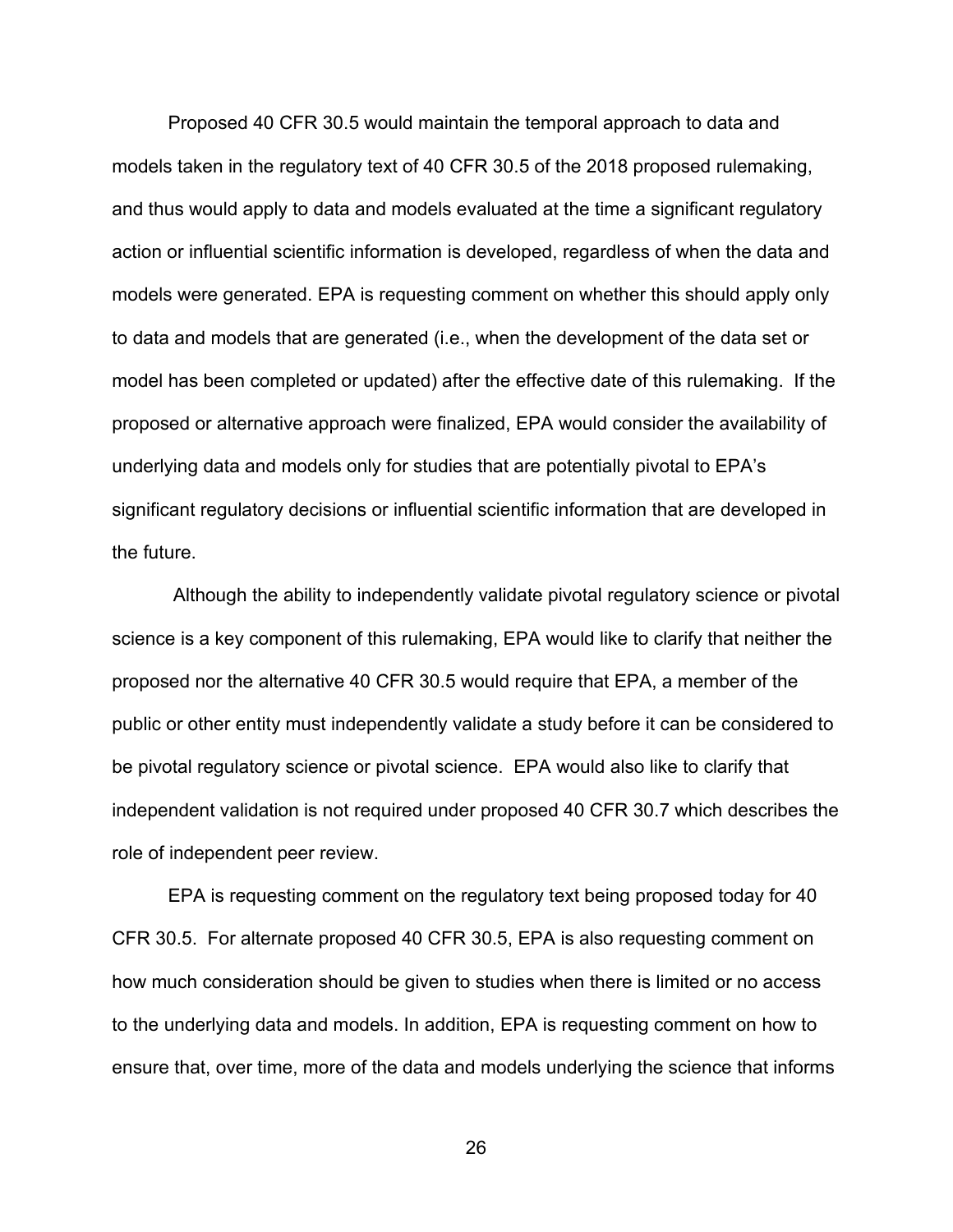Proposed 40 CFR 30.5 would maintain the temporal approach to data and models taken in the regulatory text of 40 CFR 30.5 of the 2018 proposed rulemaking, and thus would apply to data and models evaluated at the time a significant regulatory action or influential scientific information is developed, regardless of when the data and models were generated. EPA is requesting comment on whether this should apply only to data and models that are generated (i.e., when the development of the data set or model has been completed or updated) after the effective date of this rulemaking. If the proposed or alternative approach were finalized, EPA would consider the availability of underlying data and models only for studies that are potentially pivotal to EPA's significant regulatory decisions or influential scientific information that are developed in the future.

Although the ability to independently validate pivotal regulatory science or pivotal science is a key component of this rulemaking, EPA would like to clarify that neither the proposed nor the alternative 40 CFR 30.5 would require that EPA, a member of the public or other entity must independently validate a study before it can be considered to be pivotal regulatory science or pivotal science. EPA would also like to clarify that independent validation is not required under proposed 40 CFR 30.7 which describes the role of independent peer review.

EPA is requesting comment on the regulatory text being proposed today for 40 CFR 30.5. For alternate proposed 40 CFR 30.5, EPA is also requesting comment on how much consideration should be given to studies when there is limited or no access to the underlying data and models. In addition, EPA is requesting comment on how to ensure that, over time, more of the data and models underlying the science that informs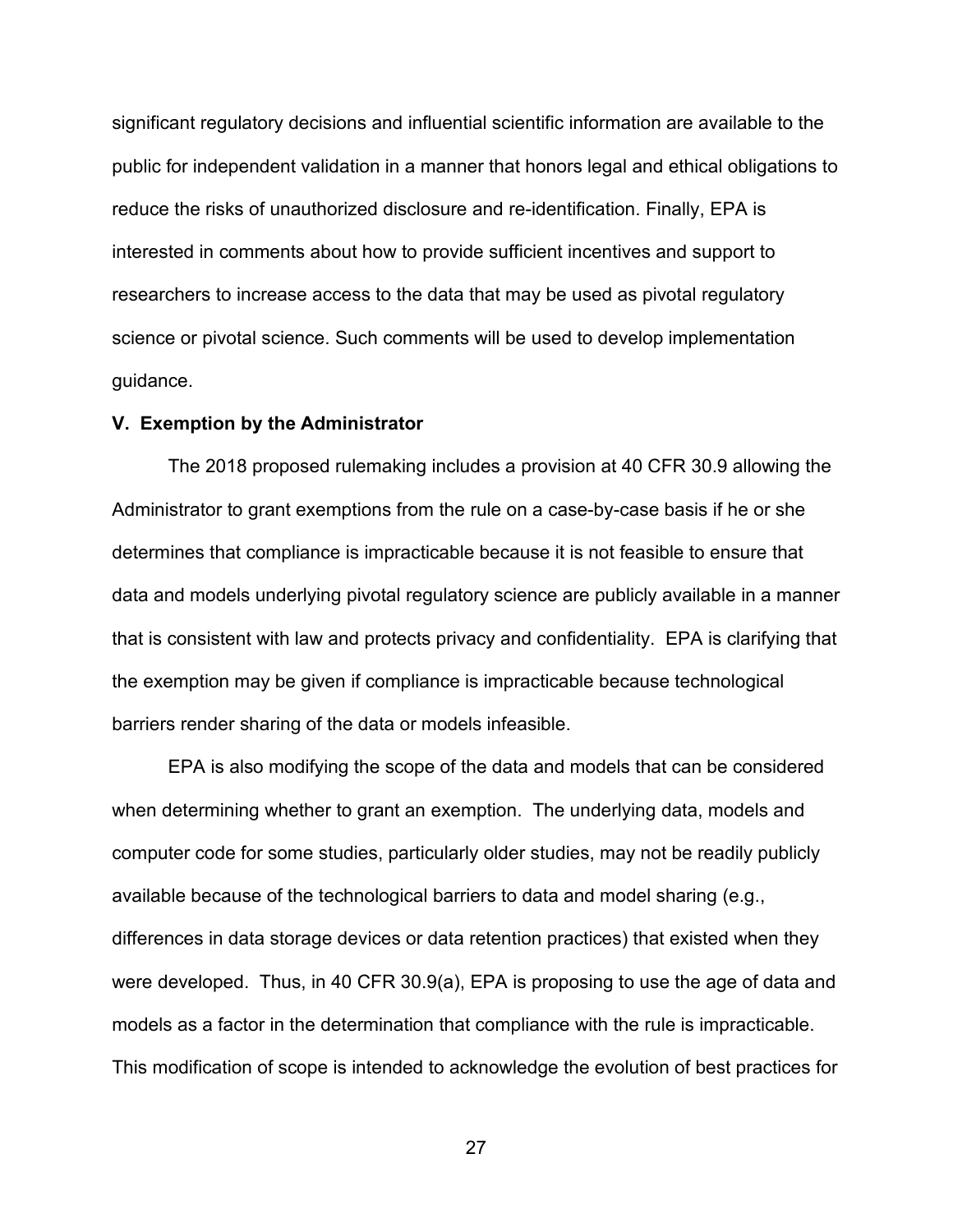significant regulatory decisions and influential scientific information are available to the public for independent validation in a manner that honors legal and ethical obligations to reduce the risks of unauthorized disclosure and re-identification. Finally, EPA is interested in comments about how to provide sufficient incentives and support to researchers to increase access to the data that may be used as pivotal regulatory science or pivotal science. Such comments will be used to develop implementation guidance.

#### **V. Exemption by the Administrator**

The 2018 proposed rulemaking includes a provision at 40 CFR 30.9 allowing the Administrator to grant exemptions from the rule on a case-by-case basis if he or she determines that compliance is impracticable because it is not feasible to ensure that data and models underlying pivotal regulatory science are publicly available in a manner that is consistent with law and protects privacy and confidentiality. EPA is clarifying that the exemption may be given if compliance is impracticable because technological barriers render sharing of the data or models infeasible.

EPA is also modifying the scope of the data and models that can be considered when determining whether to grant an exemption. The underlying data, models and computer code for some studies, particularly older studies, may not be readily publicly available because of the technological barriers to data and model sharing (e.g., differences in data storage devices or data retention practices) that existed when they were developed. Thus, in 40 CFR 30.9(a), EPA is proposing to use the age of data and models as a factor in the determination that compliance with the rule is impracticable. This modification of scope is intended to acknowledge the evolution of best practices for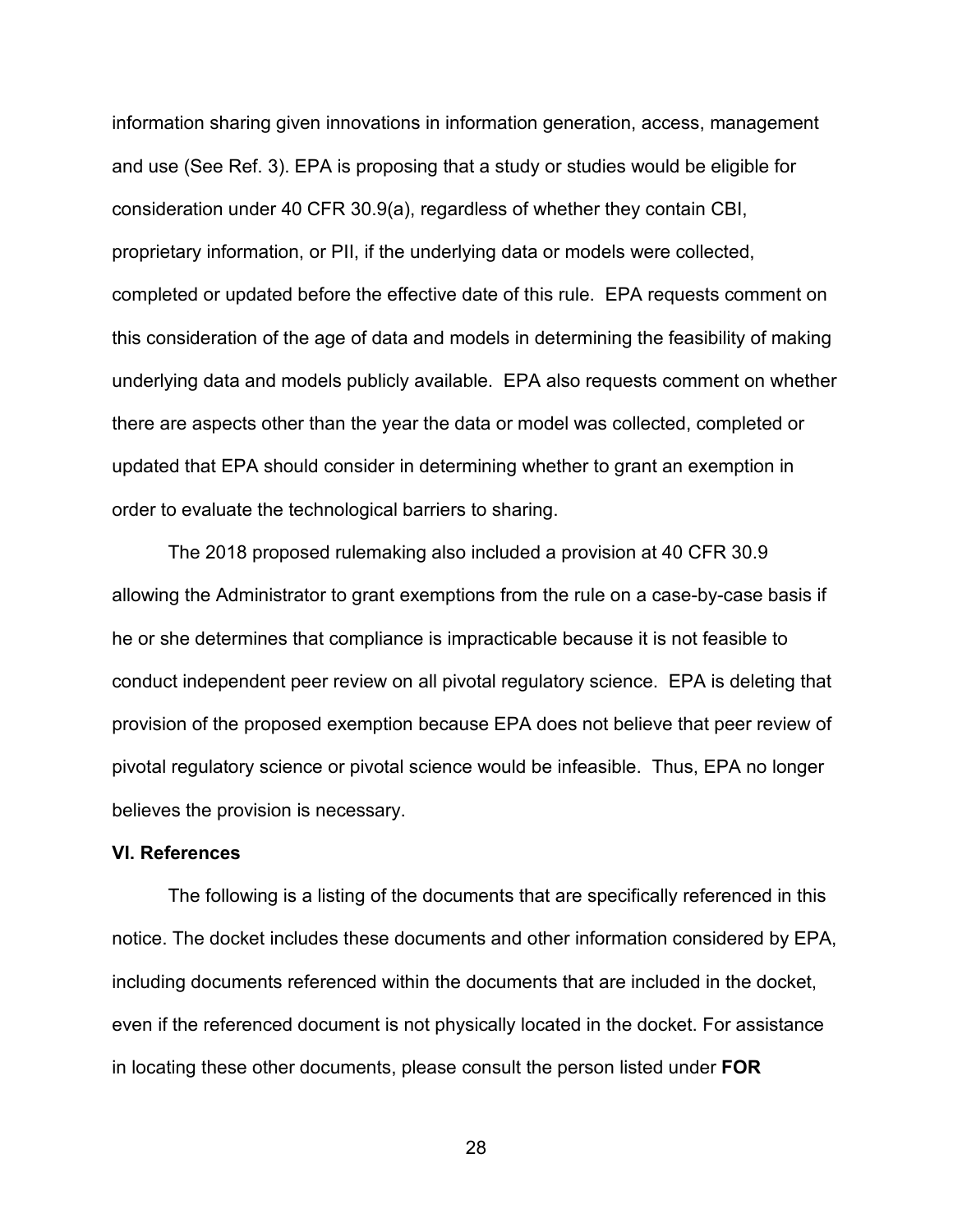information sharing given innovations in information generation, access, management and use (See Ref. 3). EPA is proposing that a study or studies would be eligible for consideration under 40 CFR 30.9(a), regardless of whether they contain CBI, proprietary information, or PII, if the underlying data or models were collected, completed or updated before the effective date of this rule. EPA requests comment on this consideration of the age of data and models in determining the feasibility of making underlying data and models publicly available. EPA also requests comment on whether there are aspects other than the year the data or model was collected, completed or updated that EPA should consider in determining whether to grant an exemption in order to evaluate the technological barriers to sharing.

The 2018 proposed rulemaking also included a provision at 40 CFR 30.9 allowing the Administrator to grant exemptions from the rule on a case-by-case basis if he or she determines that compliance is impracticable because it is not feasible to conduct independent peer review on all pivotal regulatory science. EPA is deleting that provision of the proposed exemption because EPA does not believe that peer review of pivotal regulatory science or pivotal science would be infeasible. Thus, EPA no longer believes the provision is necessary.

#### **VI. References**

The following is a listing of the documents that are specifically referenced in this notice. The docket includes these documents and other information considered by EPA, including documents referenced within the documents that are included in the docket, even if the referenced document is not physically located in the docket. For assistance in locating these other documents, please consult the person listed under **FOR**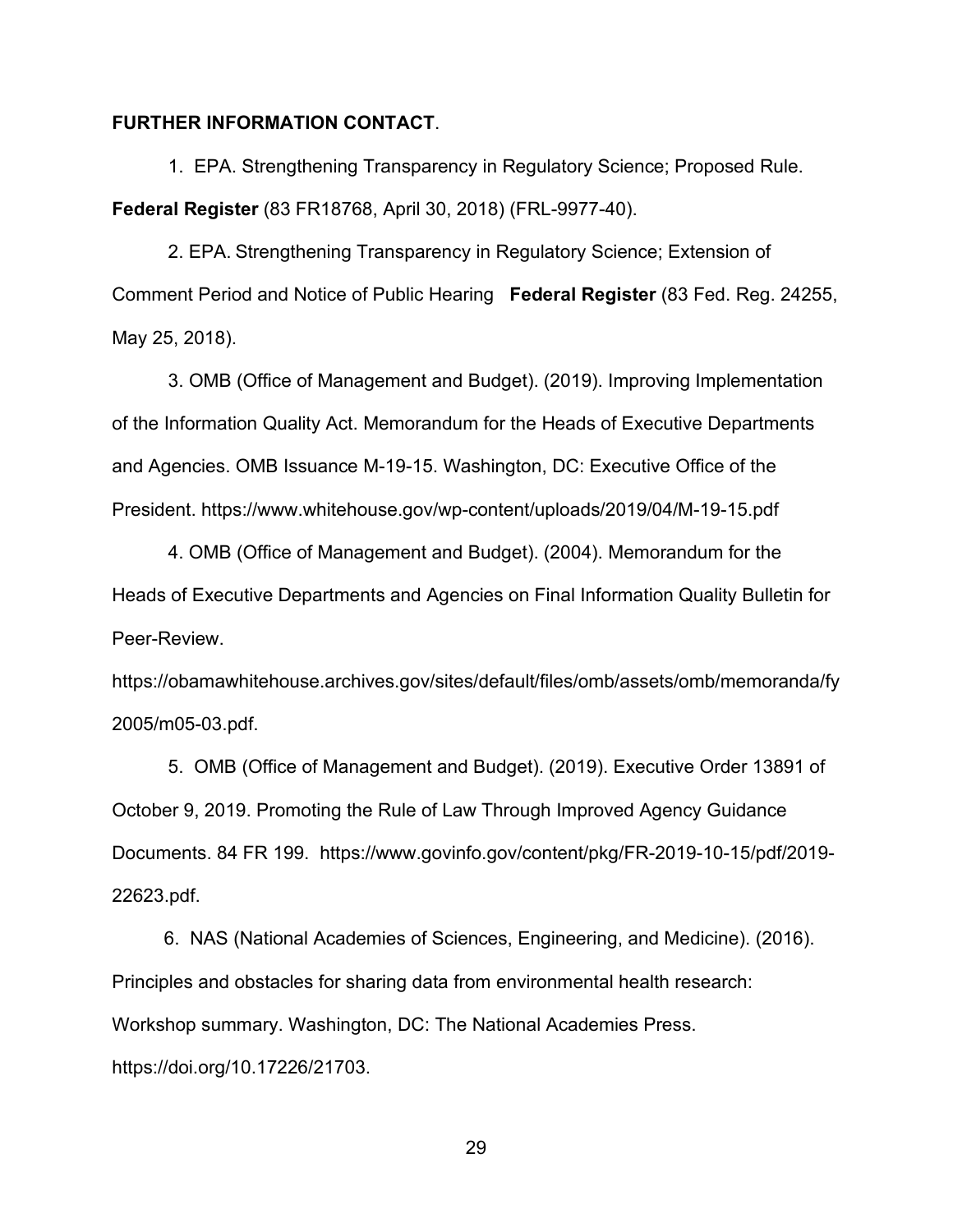## **FURTHER INFORMATION CONTACT**.

1. EPA. Strengthening Transparency in Regulatory Science; Proposed Rule. **Federal Register** (83 FR18768, April 30, 2018) (FRL-9977-40).

2. EPA. Strengthening Transparency in Regulatory Science; Extension of Comment Period and Notice of Public Hearing **Federal Register** (83 Fed. Reg. 24255, May 25, 2018).

3. OMB (Office of Management and Budget). (2019). Improving Implementation of the Information Quality Act. Memorandum for the Heads of Executive Departments and Agencies. OMB Issuance M-19-15. Washington, DC: Executive Office of the President.<https://www.whitehouse.gov/wp-content/uploads/2019/04/M-19-15.pdf>

4. OMB (Office of Management and Budget). (2004). Memorandum for the Heads of Executive Departments and Agencies on Final Information Quality Bulletin for Peer-Review.

https://obamawhitehouse.archives.gov/sites/default/files/omb/assets/omb/memoranda/fy 2005/m05-03.pdf.

5. OMB (Office of Management and Budget). (2019). Executive Order 13891 of October 9, 2019. Promoting the Rule of Law Through Improved Agency Guidance Documents. 84 FR 199. https://www.govinfo.gov/content/pkg/FR-2019-10-15/pdf/2019- 22623.pdf.

 6. NAS (National Academies of Sciences, Engineering, and Medicine). (2016). Principles and obstacles for sharing data from environmental health research: Workshop summary. Washington, DC: The National Academies Press. https://doi.org/10.17226/21703.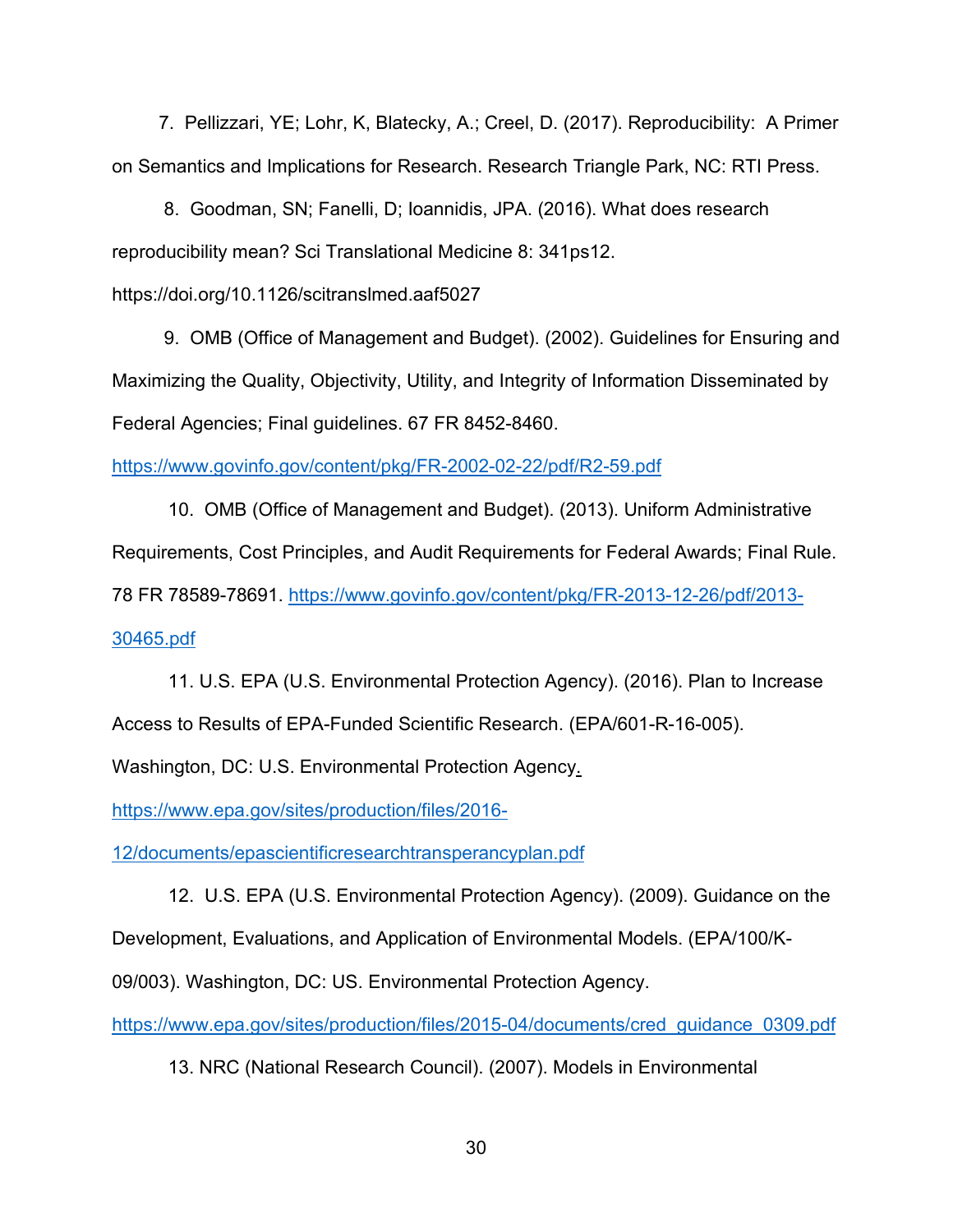7. Pellizzari, YE; Lohr, K, Blatecky, A.; Creel, D. (2017). Reproducibility: A Primer on Semantics and Implications for Research. Research Triangle Park, NC: RTI Press.

 8. Goodman, SN; Fanelli, D; Ioannidis, JPA. (2016). What does research reproducibility mean? Sci Translational Medicine 8: 341ps12.

https://doi.org/10.1126/scitranslmed.aaf5027

 9. OMB (Office of Management and Budget). (2002). Guidelines for Ensuring and Maximizing the Quality, Objectivity, Utility, and Integrity of Information Disseminated by Federal Agencies; Final guidelines. 67 FR 8452-8460.

<https://www.govinfo.gov/content/pkg/FR-2002-02-22/pdf/R2-59.pdf>

10. OMB (Office of Management and Budget). (2013). Uniform Administrative Requirements, Cost Principles, and Audit Requirements for Federal Awards; Final Rule. 78 FR 78589-78691. [https://www.govinfo.gov/content/pkg/FR-2013-12-26/pdf/2013-](https://www.govinfo.gov/content/pkg/FR-2013-12-26/pdf/2013-30465.pdf) [30465.pdf](https://www.govinfo.gov/content/pkg/FR-2013-12-26/pdf/2013-30465.pdf)

11. U.S. EPA (U.S. Environmental Protection Agency). (2016). Plan to Increase Access to Results of EPA-Funded Scientific Research. (EPA/601-R-16-005).

Washington, DC: U.S. Environmental Protection Agency.

https://www.epa.gov/sites/production/files/2016-

12/documents/epascientificresearchtransperancyplan.pdf

12. U.S. EPA (U.S. Environmental Protection Agency). (2009). Guidance on the Development, Evaluations, and Application of Environmental Models. (EPA/100/K-

09/003). Washington, DC: US. Environmental Protection Agency.

[https://www.epa.gov/sites/production/files/2015-04/documents/cred\\_guidance\\_0309.pdf](https://www.epa.gov/sites/production/files/2015-04/documents/cred_guidance_0309.pdf)

13. NRC (National Research Council). (2007). Models in Environmental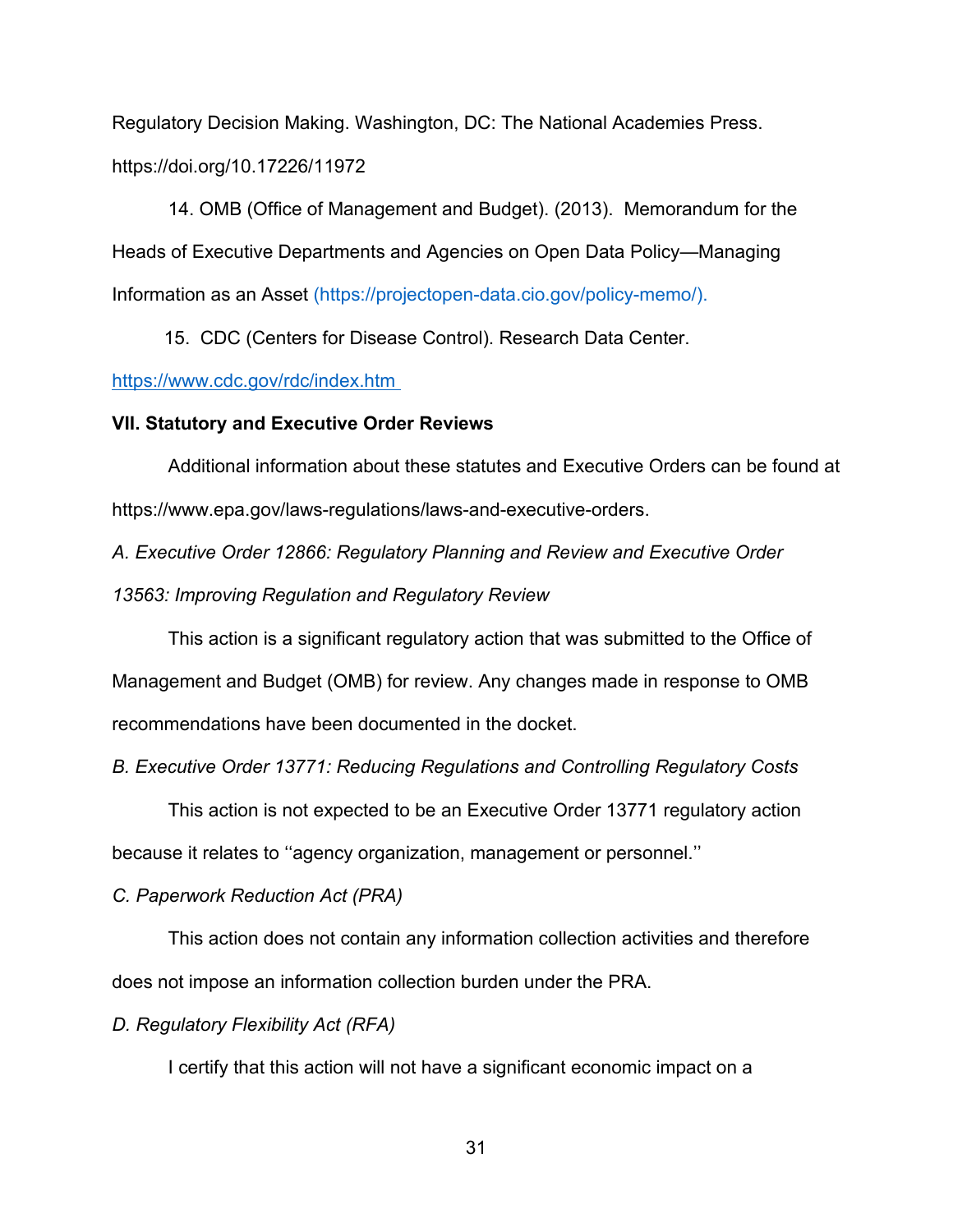Regulatory Decision Making. Washington, DC: The National Academies Press. https://doi.org/10.17226/11972

14. OMB (Office of Management and Budget). (2013). Memorandum for the Heads of Executive Departments and Agencies on Open Data Policy—Managing Information as an Asset (https://projectopen-data.cio.gov/policy-memo/).

15. CDC (Centers for Disease Control). Research Data Center.

## <https://www.cdc.gov/rdc/index.htm>

## **VII. Statutory and Executive Order Reviews**

Additional information about these statutes and Executive Orders can be found at https://www.epa.gov/laws-regulations/laws-and-executive-orders.

*A. Executive Order 12866: Regulatory Planning and Review and Executive Order* 

*13563: Improving Regulation and Regulatory Review*

This action is a significant regulatory action that was submitted to the Office of Management and Budget (OMB) for review. Any changes made in response to OMB recommendations have been documented in the docket.

*B. Executive Order 13771: Reducing Regulations and Controlling Regulatory Costs*

This action is not expected to be an Executive Order 13771 regulatory action

because it relates to ''agency organization, management or personnel.''

## *C. Paperwork Reduction Act (PRA)*

This action does not contain any information collection activities and therefore does not impose an information collection burden under the PRA.

*D. Regulatory Flexibility Act (RFA)*

I certify that this action will not have a significant economic impact on a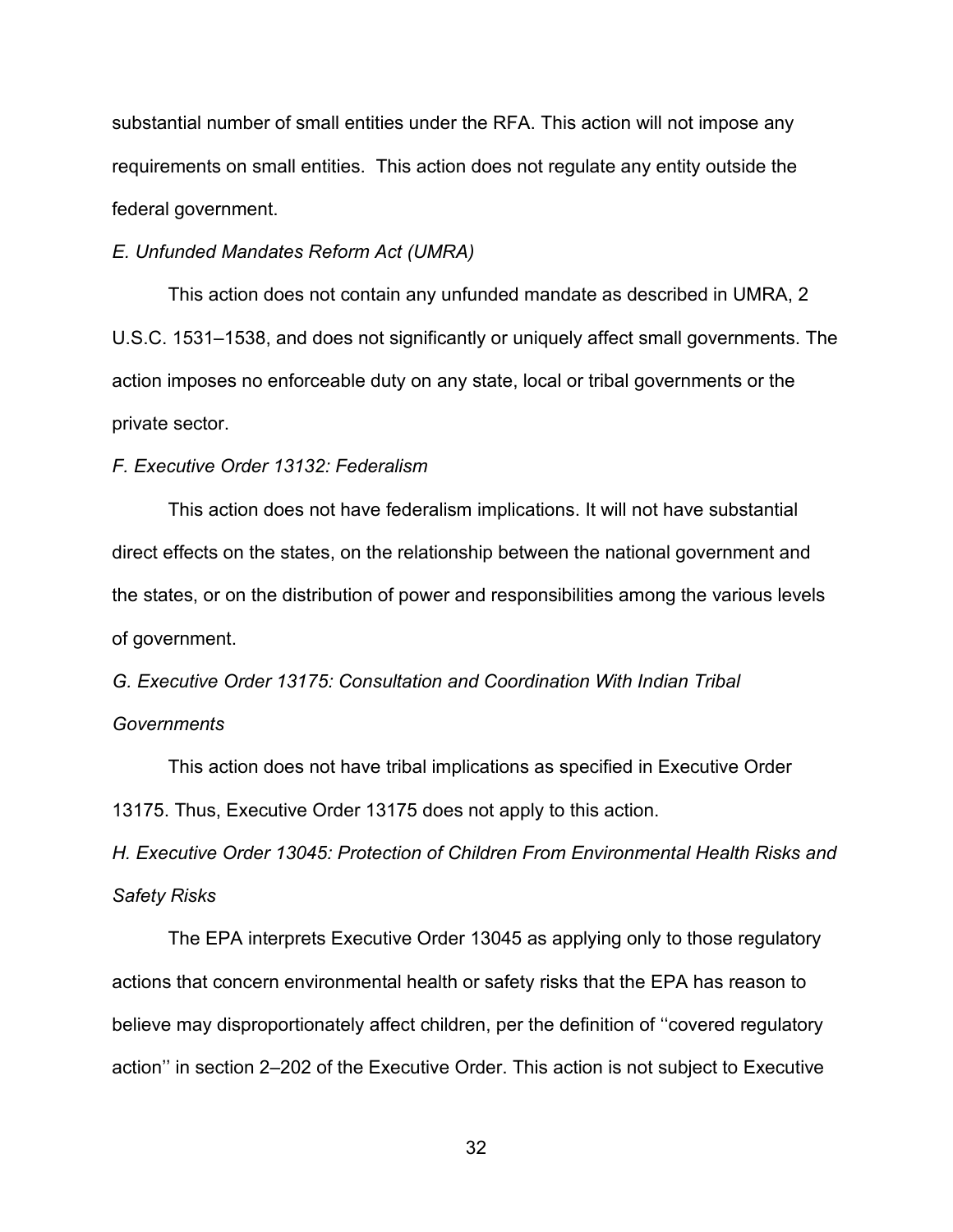substantial number of small entities under the RFA. This action will not impose any requirements on small entities. This action does not regulate any entity outside the federal government.

## *E. Unfunded Mandates Reform Act (UMRA)*

This action does not contain any unfunded mandate as described in UMRA, 2 U.S.C. 1531–1538, and does not significantly or uniquely affect small governments. The action imposes no enforceable duty on any state, local or tribal governments or the private sector.

## *F. Executive Order 13132: Federalism*

This action does not have federalism implications. It will not have substantial direct effects on the states, on the relationship between the national government and the states, or on the distribution of power and responsibilities among the various levels of government.

*G. Executive Order 13175: Consultation and Coordination With Indian Tribal Governments*

This action does not have tribal implications as specified in Executive Order 13175. Thus, Executive Order 13175 does not apply to this action.

*H. Executive Order 13045: Protection of Children From Environmental Health Risks and Safety Risks*

The EPA interprets Executive Order 13045 as applying only to those regulatory actions that concern environmental health or safety risks that the EPA has reason to believe may disproportionately affect children, per the definition of ''covered regulatory action'' in section 2–202 of the Executive Order. This action is not subject to Executive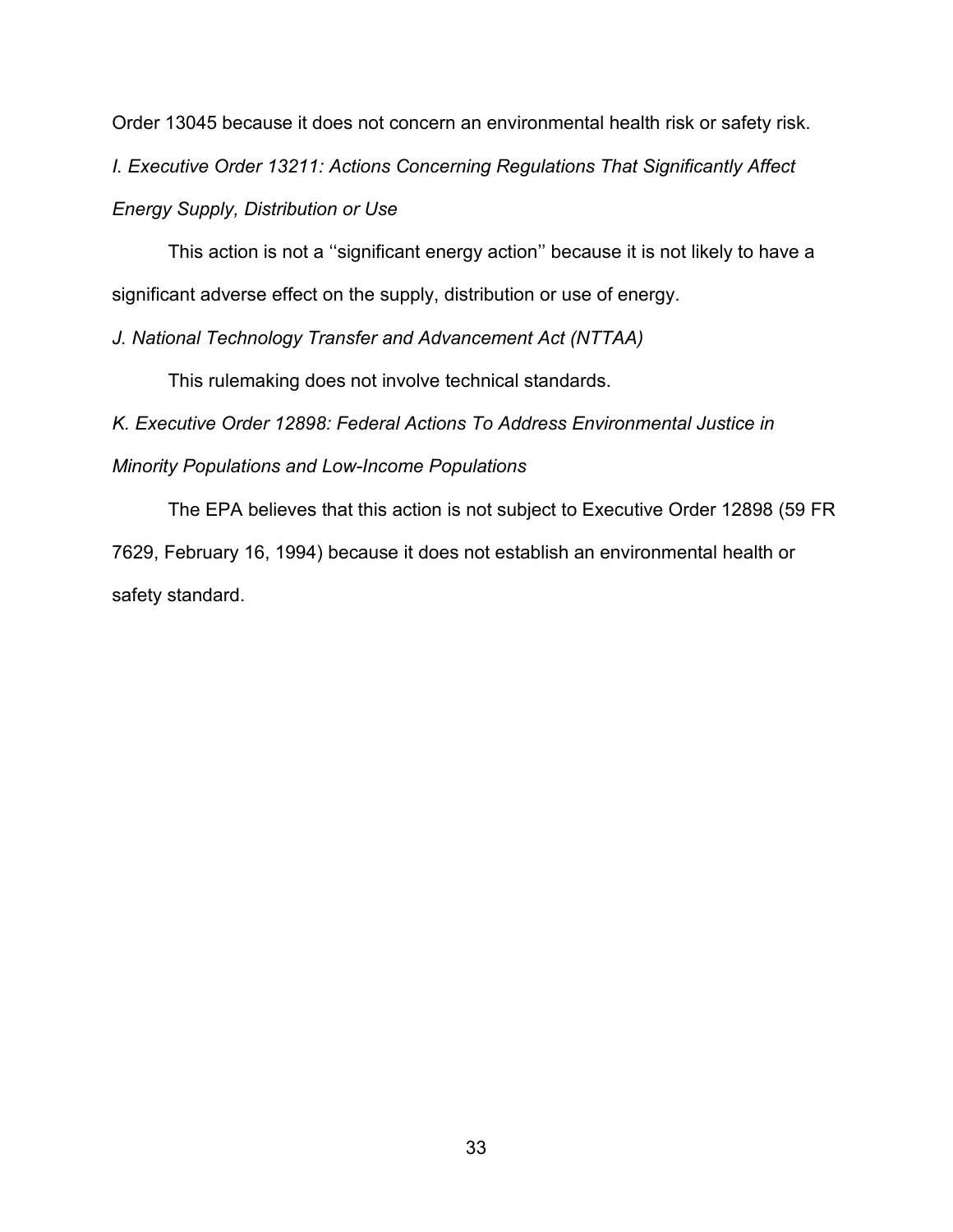Order 13045 because it does not concern an environmental health risk or safety risk.

*I. Executive Order 13211: Actions Concerning Regulations That Significantly Affect* 

*Energy Supply, Distribution or Use*

This action is not a ''significant energy action'' because it is not likely to have a significant adverse effect on the supply, distribution or use of energy.

*J. National Technology Transfer and Advancement Act (NTTAA)*

This rulemaking does not involve technical standards.

*K. Executive Order 12898: Federal Actions To Address Environmental Justice in Minority Populations and Low-Income Populations*

The EPA believes that this action is not subject to Executive Order 12898 (59 FR 7629, February 16, 1994) because it does not establish an environmental health or safety standard.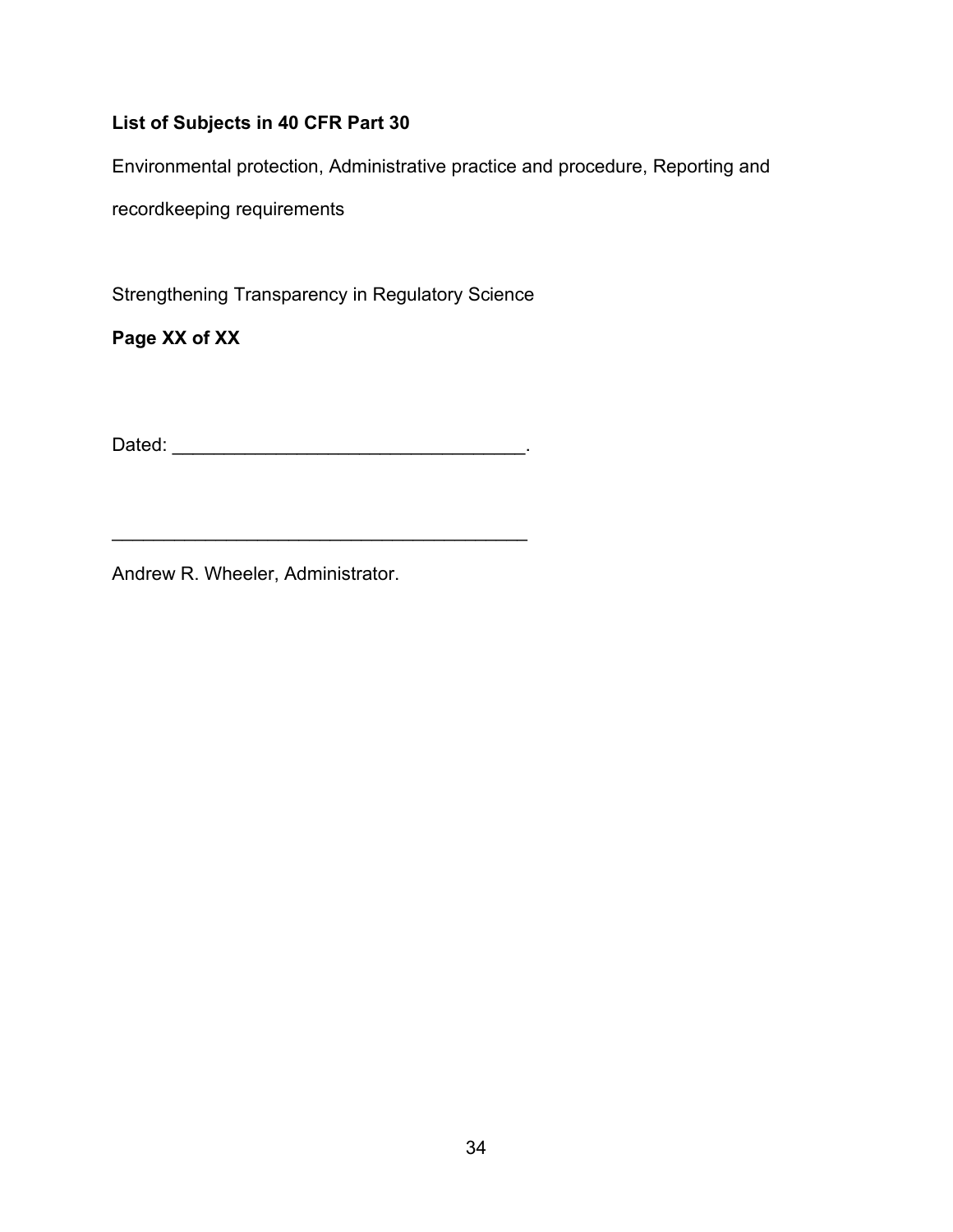## **List of Subjects in 40 CFR Part 30**

Environmental protection, Administrative practice and procedure, Reporting and

recordkeeping requirements

Strengthening Transparency in Regulatory Science

**Page XX of XX**

Dated: \_\_\_\_\_\_\_\_\_\_\_\_\_\_\_\_\_\_\_\_\_\_\_\_\_\_\_\_\_\_\_\_\_\_.

\_\_\_\_\_\_\_\_\_\_\_\_\_\_\_\_\_\_\_\_\_\_\_\_\_\_\_\_\_\_\_\_\_\_\_\_\_\_\_\_

Andrew R. Wheeler, Administrator.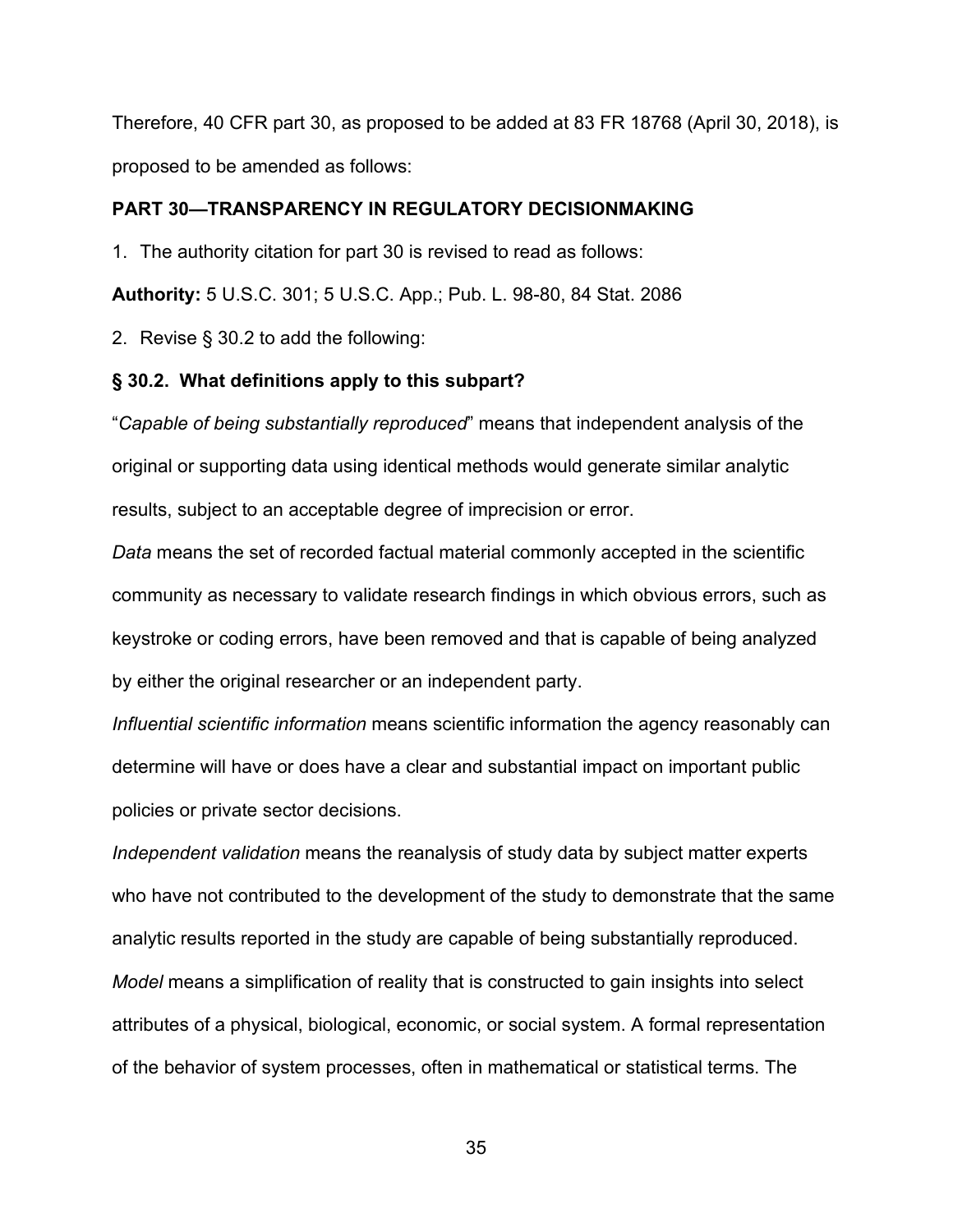Therefore, 40 CFR part 30, as proposed to be added at 83 FR 18768 (April 30, 2018), is proposed to be amended as follows:

## **PART 30—TRANSPARENCY IN REGULATORY DECISIONMAKING**

1. The authority citation for part 30 is revised to read as follows:

**Authority:** 5 U.S.C. 301; 5 U.S.C. App.; Pub. L. 98-80, 84 Stat. 2086

2. Revise § 30.2 to add the following:

## **§ 30.2. What definitions apply to this subpart?**

"*Capable of being substantially reproduced*" means that independent analysis of the original or supporting data using identical methods would generate similar analytic results, subject to an acceptable degree of imprecision or error.

*Data* means the set of recorded factual material commonly accepted in the scientific community as necessary to validate research findings in which obvious errors, such as keystroke or coding errors, have been removed and that is capable of being analyzed by either the original researcher or an independent party.

*Influential scientific information* means scientific information the agency reasonably can determine will have or does have a clear and substantial impact on important public policies or private sector decisions.

*Independent validation* means the reanalysis of study data by subject matter experts who have not contributed to the development of the study to demonstrate that the same analytic results reported in the study are capable of being substantially reproduced. *Model* means a simplification of reality that is constructed to gain insights into select attributes of a physical, biological, economic, or social system. A formal representation of the behavior of system processes, often in mathematical or statistical terms. The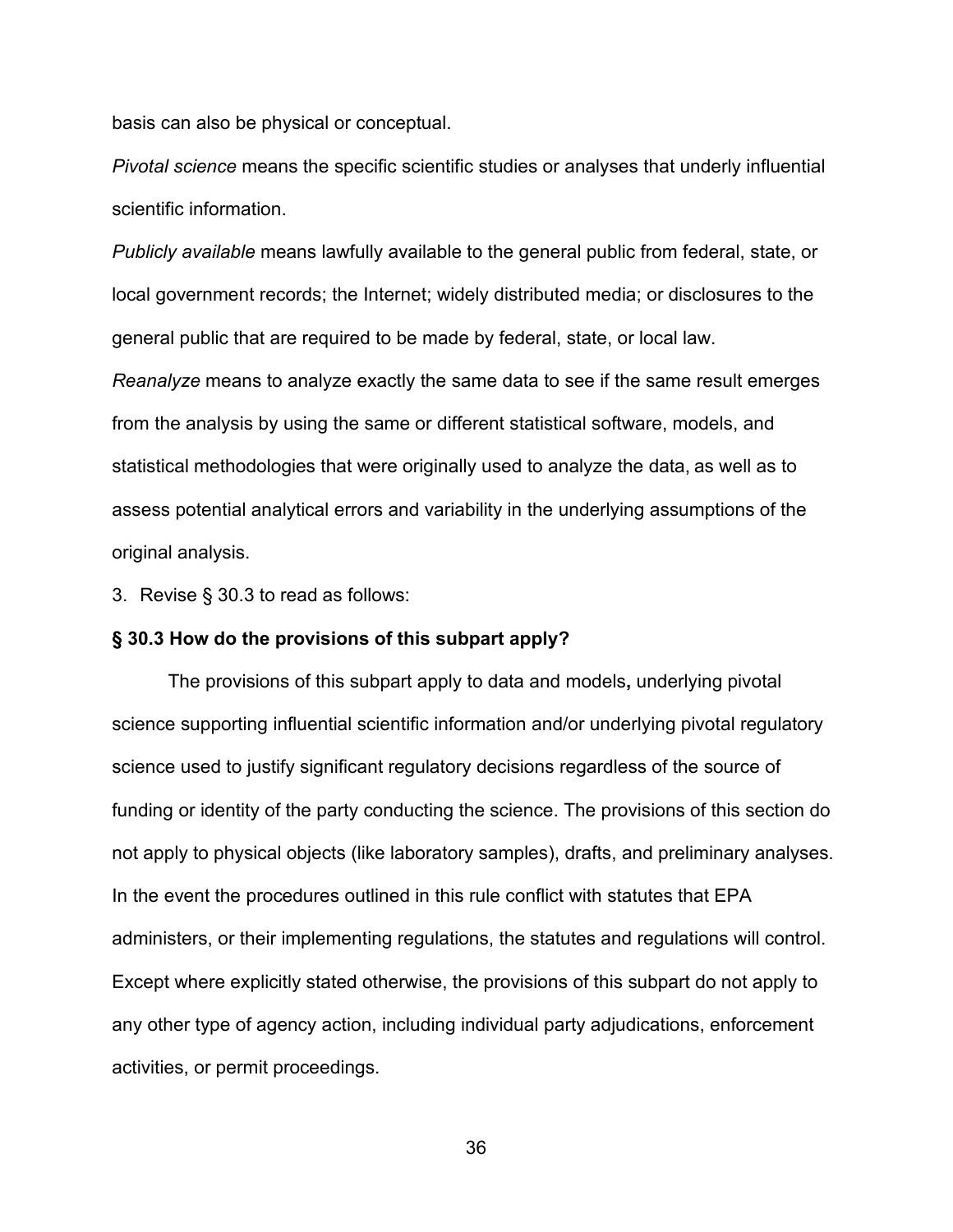basis can also be physical or conceptual.

*Pivotal science* means the specific scientific studies or analyses that underly influential scientific information.

*Publicly available* means lawfully available to the general public from federal, state, or local government records; the Internet; widely distributed media; or disclosures to the general public that are required to be made by federal, state, or local law.

*Reanalyze* means to analyze exactly the same data to see if the same result emerges from the analysis by using the same or different statistical software, models, and statistical methodologies that were originally used to analyze the data, as well as to assess potential analytical errors and variability in the underlying assumptions of the original analysis.

3. Revise § 30.3 to read as follows:

### **§ 30.3 How do the provisions of this subpart apply?**

The provisions of this subpart apply to data and models**,** underlying pivotal science supporting influential scientific information and/or underlying pivotal regulatory science used to justify significant regulatory decisions regardless of the source of funding or identity of the party conducting the science. The provisions of this section do not apply to physical objects (like laboratory samples), drafts, and preliminary analyses. In the event the procedures outlined in this rule conflict with statutes that EPA administers, or their implementing regulations, the statutes and regulations will control. Except where explicitly stated otherwise, the provisions of this subpart do not apply to any other type of agency action, including individual party adjudications, enforcement activities, or permit proceedings.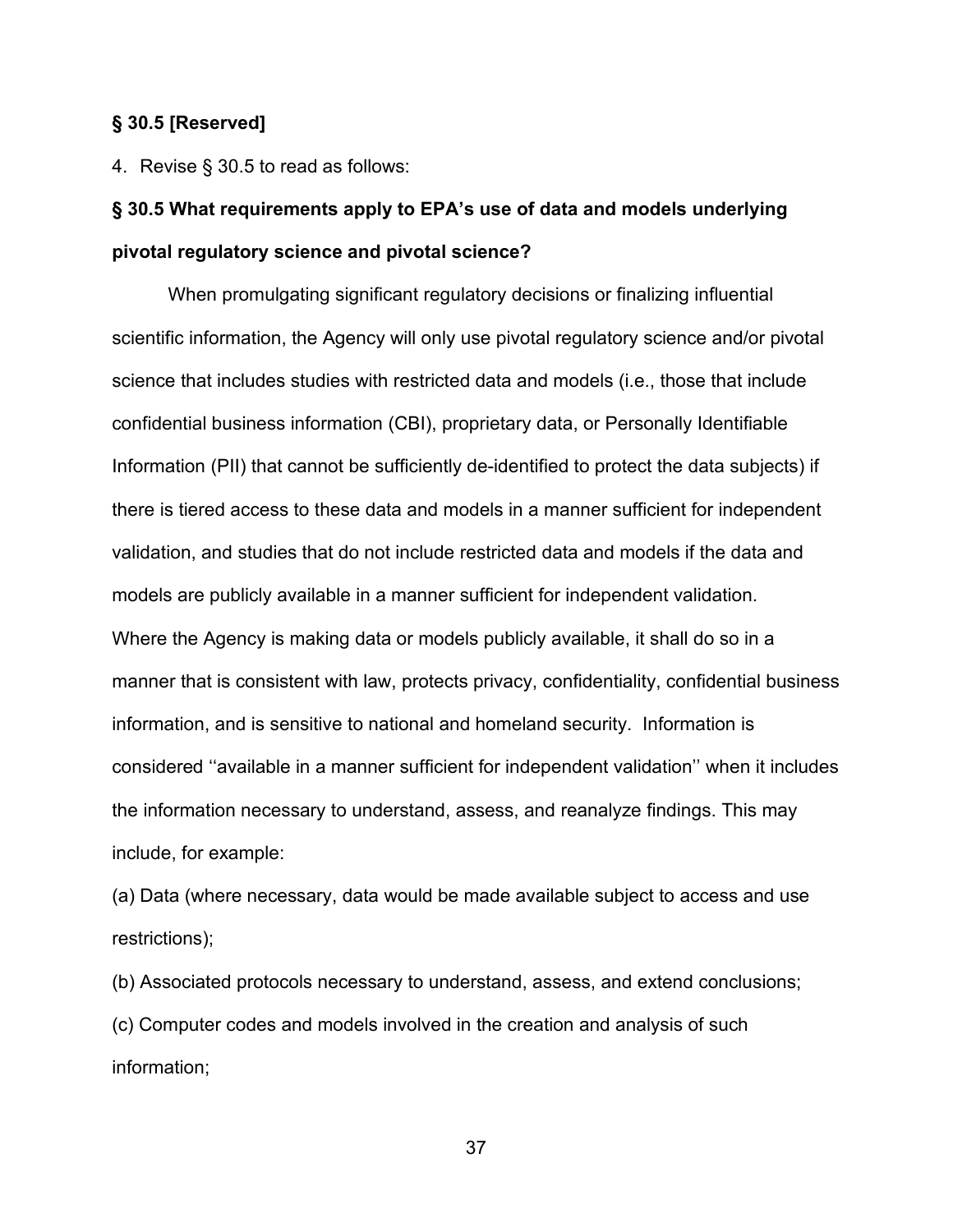## **§ 30.5 [Reserved]**

4. Revise § 30.5 to read as follows:

# **§ 30.5 What requirements apply to EPA's use of data and models underlying pivotal regulatory science and pivotal science?**

When promulgating significant regulatory decisions or finalizing influential scientific information, the Agency will only use pivotal regulatory science and/or pivotal science that includes studies with restricted data and models (i.e., those that include confidential business information (CBI), proprietary data, or Personally Identifiable Information (PII) that cannot be sufficiently de-identified to protect the data subjects) if there is tiered access to these data and models in a manner sufficient for independent validation, and studies that do not include restricted data and models if the data and models are publicly available in a manner sufficient for independent validation. Where the Agency is making data or models publicly available, it shall do so in a manner that is consistent with law, protects privacy, confidentiality, confidential business information, and is sensitive to national and homeland security. Information is considered ''available in a manner sufficient for independent validation'' when it includes the information necessary to understand, assess, and reanalyze findings. This may include, for example:

(a) Data (where necessary, data would be made available subject to access and use restrictions);

(b) Associated protocols necessary to understand, assess, and extend conclusions; (c) Computer codes and models involved in the creation and analysis of such information;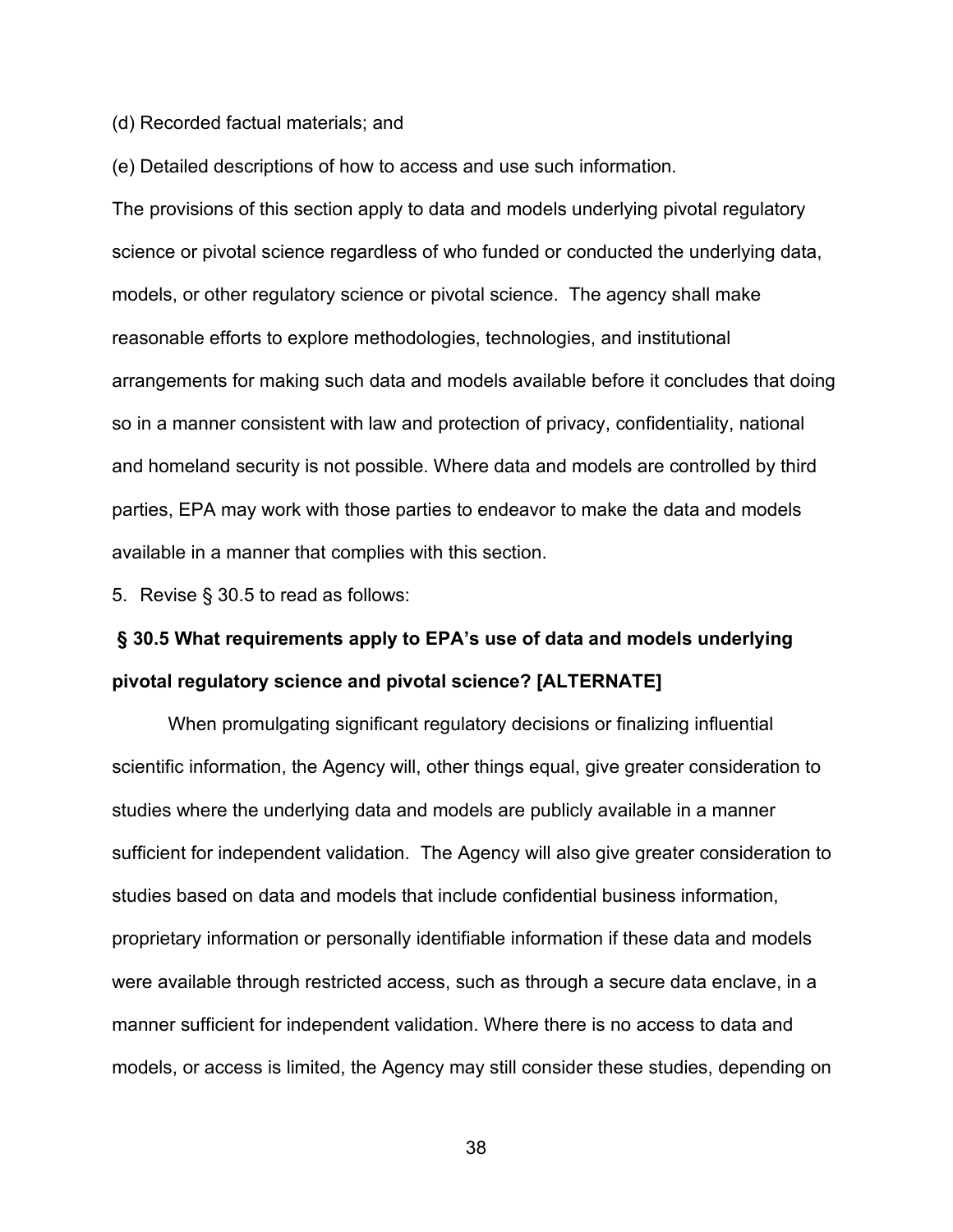(d) Recorded factual materials; and

(e) Detailed descriptions of how to access and use such information.

The provisions of this section apply to data and models underlying pivotal regulatory science or pivotal science regardless of who funded or conducted the underlying data, models, or other regulatory science or pivotal science. The agency shall make reasonable efforts to explore methodologies, technologies, and institutional arrangements for making such data and models available before it concludes that doing so in a manner consistent with law and protection of privacy, confidentiality, national and homeland security is not possible. Where data and models are controlled by third parties, EPA may work with those parties to endeavor to make the data and models available in a manner that complies with this section.

5. Revise § 30.5 to read as follows:

# **§ 30.5 What requirements apply to EPA's use of data and models underlying pivotal regulatory science and pivotal science? [ALTERNATE]**

When promulgating significant regulatory decisions or finalizing influential scientific information, the Agency will, other things equal, give greater consideration to studies where the underlying data and models are publicly available in a manner sufficient for independent validation. The Agency will also give greater consideration to studies based on data and models that include confidential business information, proprietary information or personally identifiable information if these data and models were available through restricted access, such as through a secure data enclave, in a manner sufficient for independent validation. Where there is no access to data and models, or access is limited, the Agency may still consider these studies, depending on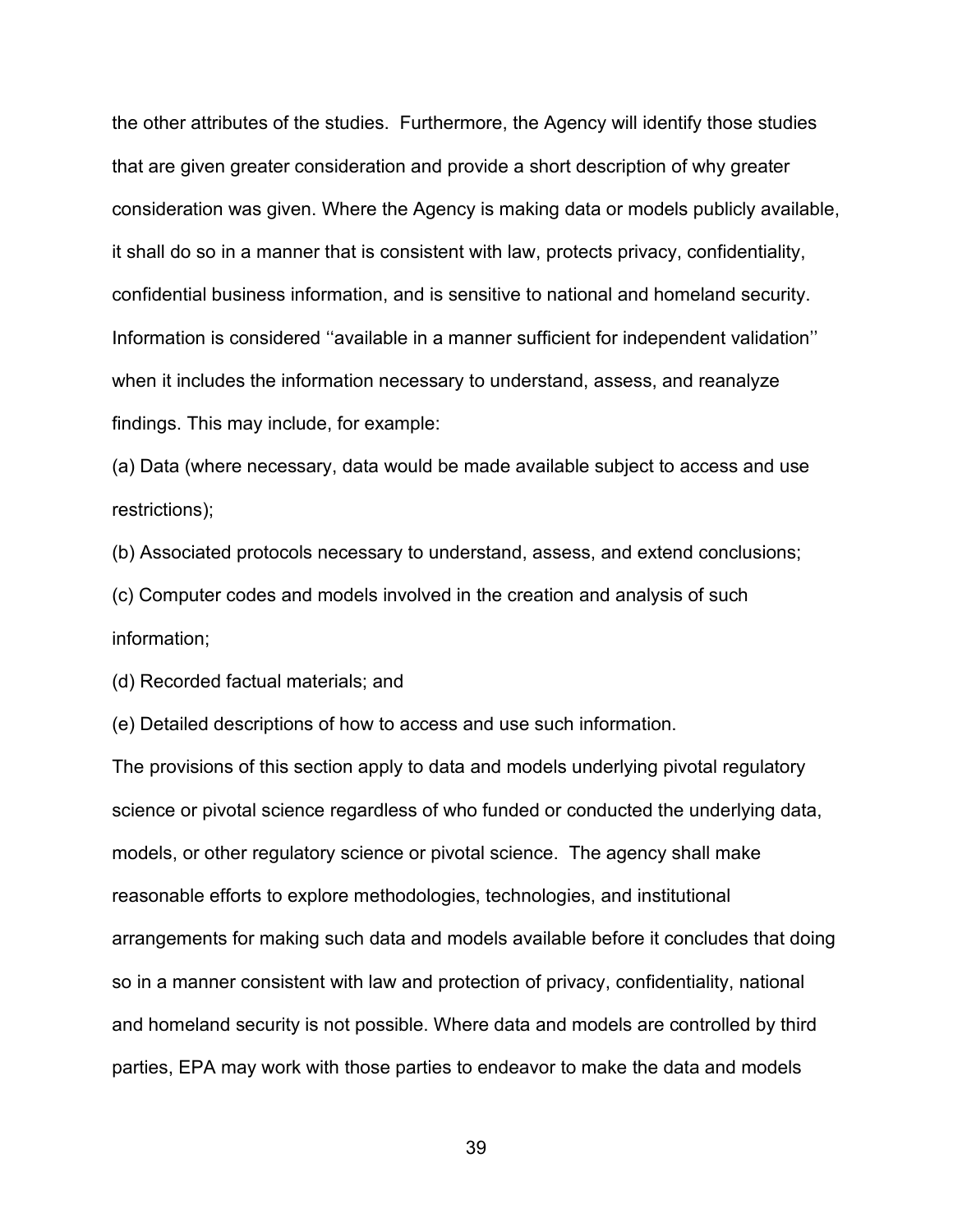the other attributes of the studies. Furthermore, the Agency will identify those studies that are given greater consideration and provide a short description of why greater consideration was given. Where the Agency is making data or models publicly available, it shall do so in a manner that is consistent with law, protects privacy, confidentiality, confidential business information, and is sensitive to national and homeland security. Information is considered ''available in a manner sufficient for independent validation'' when it includes the information necessary to understand, assess, and reanalyze findings. This may include, for example:

(a) Data (where necessary, data would be made available subject to access and use restrictions);

(b) Associated protocols necessary to understand, assess, and extend conclusions;

(c) Computer codes and models involved in the creation and analysis of such information;

(d) Recorded factual materials; and

(e) Detailed descriptions of how to access and use such information.

The provisions of this section apply to data and models underlying pivotal regulatory science or pivotal science regardless of who funded or conducted the underlying data, models, or other regulatory science or pivotal science. The agency shall make reasonable efforts to explore methodologies, technologies, and institutional arrangements for making such data and models available before it concludes that doing so in a manner consistent with law and protection of privacy, confidentiality, national and homeland security is not possible. Where data and models are controlled by third parties, EPA may work with those parties to endeavor to make the data and models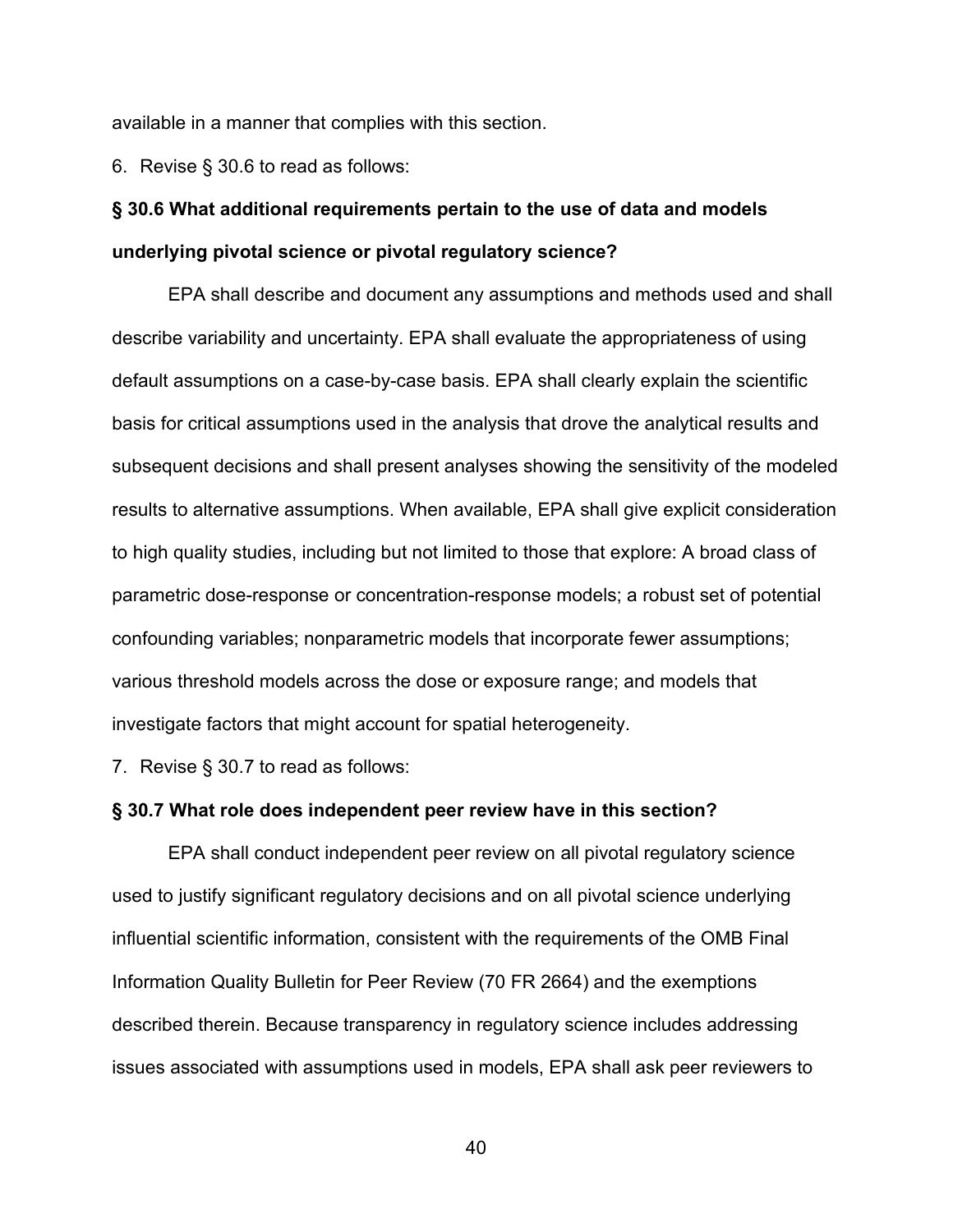available in a manner that complies with this section.

6. Revise § 30.6 to read as follows:

## **§ 30.6 What additional requirements pertain to the use of data and models underlying pivotal science or pivotal regulatory science?**

EPA shall describe and document any assumptions and methods used and shall describe variability and uncertainty. EPA shall evaluate the appropriateness of using default assumptions on a case-by-case basis. EPA shall clearly explain the scientific basis for critical assumptions used in the analysis that drove the analytical results and subsequent decisions and shall present analyses showing the sensitivity of the modeled results to alternative assumptions. When available, EPA shall give explicit consideration to high quality studies, including but not limited to those that explore: A broad class of parametric dose-response or concentration-response models; a robust set of potential confounding variables; nonparametric models that incorporate fewer assumptions; various threshold models across the dose or exposure range; and models that investigate factors that might account for spatial heterogeneity.

7. Revise § 30.7 to read as follows:

#### **§ 30.7 What role does independent peer review have in this section?**

EPA shall conduct independent peer review on all pivotal regulatory science used to justify significant regulatory decisions and on all pivotal science underlying influential scientific information, consistent with the requirements of the OMB Final Information Quality Bulletin for Peer Review (70 FR 2664) and the exemptions described therein. Because transparency in regulatory science includes addressing issues associated with assumptions used in models, EPA shall ask peer reviewers to